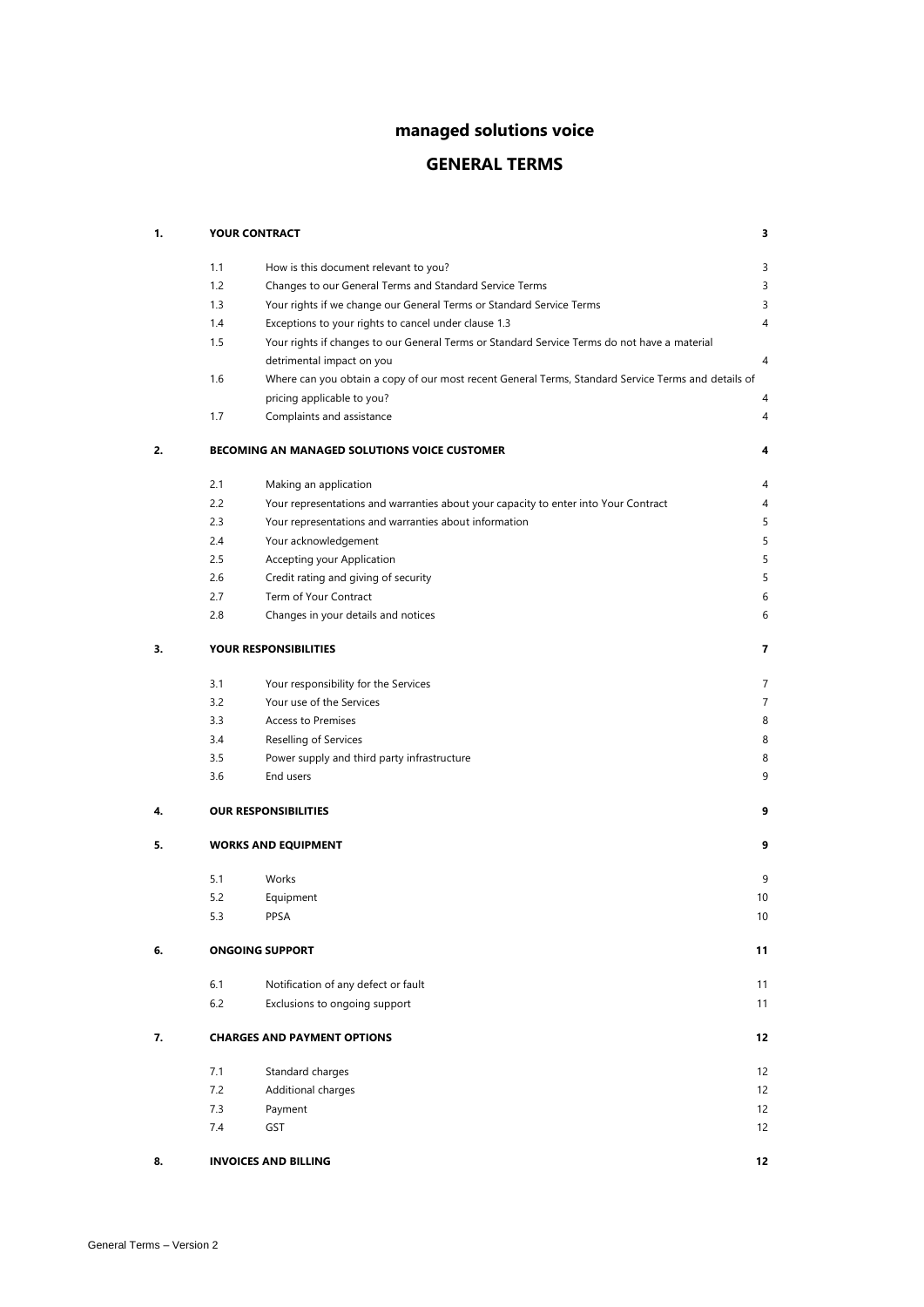# **managed solutions voice**

# **GENERAL TERMS**

| 1. |                                   | <b>YOUR CONTRACT</b>                                                                                | 3  |
|----|-----------------------------------|-----------------------------------------------------------------------------------------------------|----|
|    | 1.1                               | How is this document relevant to you?                                                               | 3  |
|    | 1.2                               | Changes to our General Terms and Standard Service Terms                                             | 3  |
|    | 1.3                               | Your rights if we change our General Terms or Standard Service Terms                                | 3  |
|    | 1.4                               | Exceptions to your rights to cancel under clause 1.3                                                | 4  |
|    | 1.5                               | Your rights if changes to our General Terms or Standard Service Terms do not have a material        |    |
|    |                                   | detrimental impact on you                                                                           | 4  |
|    | 1.6                               | Where can you obtain a copy of our most recent General Terms, Standard Service Terms and details of |    |
|    |                                   | pricing applicable to you?                                                                          | 4  |
|    | 1.7                               | Complaints and assistance                                                                           | 4  |
| 2. |                                   | BECOMING AN MANAGED SOLUTIONS VOICE CUSTOMER                                                        | 4  |
|    | 2.1                               | Making an application                                                                               | 4  |
|    | 2.2                               | Your representations and warranties about your capacity to enter into Your Contract                 | 4  |
|    | 2.3                               | Your representations and warranties about information                                               | 5  |
|    | 2.4                               | Your acknowledgement                                                                                | 5  |
|    | 2.5                               | Accepting your Application                                                                          | 5  |
|    | 2.6                               | Credit rating and giving of security                                                                | 5  |
|    | 2.7                               | Term of Your Contract                                                                               | 6  |
|    | 2.8                               | Changes in your details and notices                                                                 | 6  |
| 3. |                                   | YOUR RESPONSIBILITIES                                                                               | 7  |
|    | 3.1                               | Your responsibility for the Services                                                                | 7  |
|    | 3.2                               | Your use of the Services                                                                            | 7  |
|    | 3.3                               | <b>Access to Premises</b>                                                                           | 8  |
|    | 3.4                               | Reselling of Services                                                                               | 8  |
|    | 3.5                               | Power supply and third party infrastructure                                                         | 8  |
|    | 3.6                               | End users                                                                                           | 9  |
| 4. |                                   | <b>OUR RESPONSIBILITIES</b>                                                                         | 9  |
| 5. |                                   | <b>WORKS AND EQUIPMENT</b>                                                                          | 9  |
|    | 5.1                               | Works                                                                                               | 9  |
|    | 5.2                               | Equipment                                                                                           | 10 |
|    | 5.3                               | PPSA                                                                                                | 10 |
| 6. |                                   | <b>ONGOING SUPPORT</b>                                                                              | 11 |
|    | 6.1                               | Notification of any defect or fault                                                                 | 11 |
|    | 6.2                               | Exclusions to ongoing support                                                                       | 11 |
| 7. |                                   | <b>CHARGES AND PAYMENT OPTIONS</b>                                                                  | 12 |
|    | 7.1                               | Standard charges                                                                                    | 12 |
|    | 7.2                               | Additional charges                                                                                  | 12 |
|    | 7.3                               | Payment                                                                                             | 12 |
|    | 7.4                               | GST                                                                                                 | 12 |
| 8. | 12<br><b>INVOICES AND BILLING</b> |                                                                                                     |    |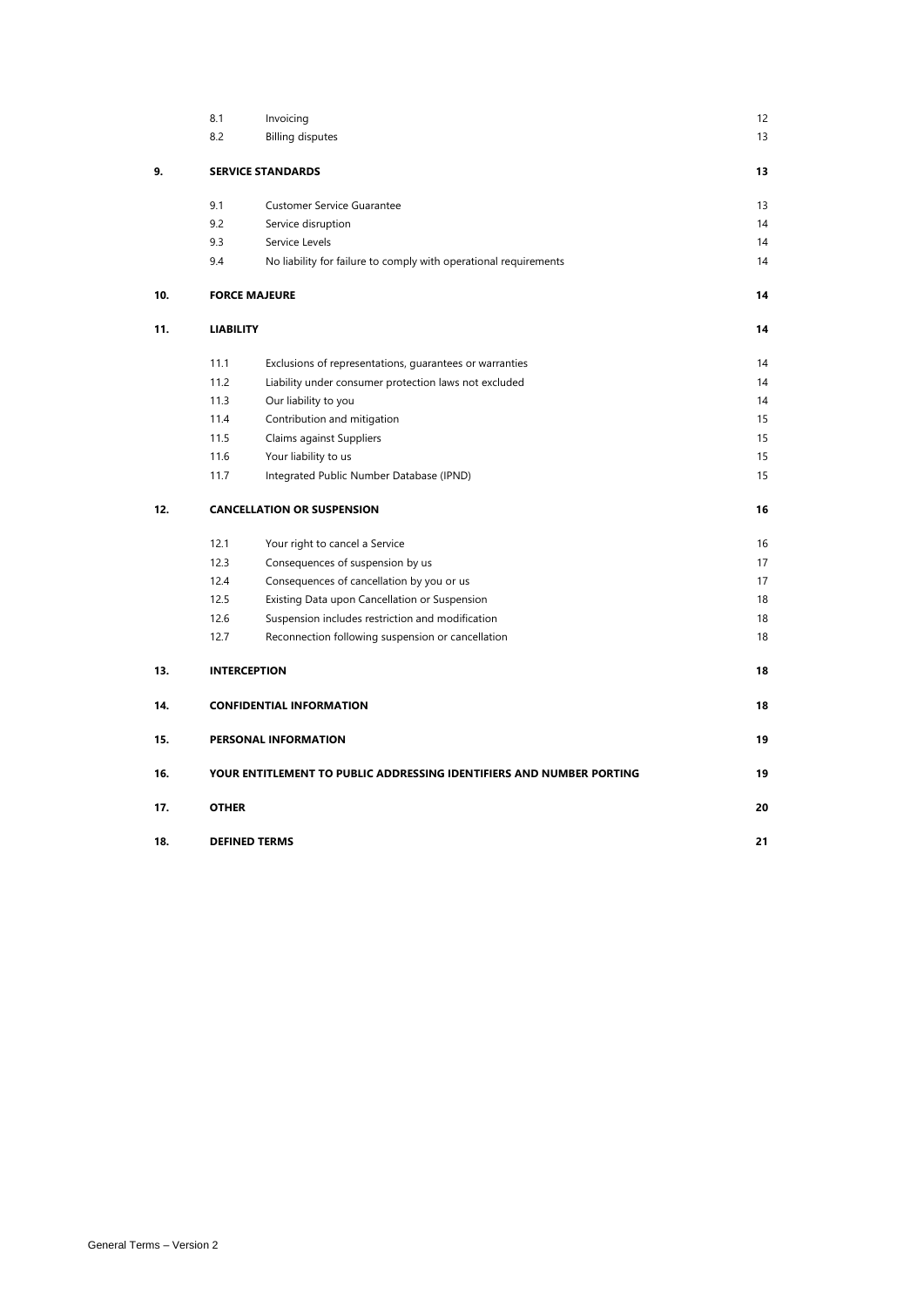|     | 8.1              | Invoicing                                                            | 12 |
|-----|------------------|----------------------------------------------------------------------|----|
|     | 8.2              | <b>Billing disputes</b>                                              | 13 |
| 9.  |                  | <b>SERVICE STANDARDS</b>                                             | 13 |
|     | 9.1              | <b>Customer Service Guarantee</b>                                    | 13 |
|     | 9.2              | Service disruption                                                   | 14 |
|     | 9.3              | Service Levels                                                       | 14 |
|     | 9.4              | No liability for failure to comply with operational requirements     | 14 |
| 10. |                  | <b>FORCE MAJEURE</b>                                                 | 14 |
| 11. | <b>LIABILITY</b> |                                                                      | 14 |
|     | 11.1             | Exclusions of representations, guarantees or warranties              | 14 |
|     | 11.2             | Liability under consumer protection laws not excluded                | 14 |
|     | 11.3             | Our liability to you                                                 | 14 |
|     | 11.4             | Contribution and mitigation                                          | 15 |
|     | 11.5             | Claims against Suppliers                                             | 15 |
|     | 11.6             | Your liability to us                                                 | 15 |
|     | 11.7             | Integrated Public Number Database (IPND)                             | 15 |
| 12. |                  | <b>CANCELLATION OR SUSPENSION</b>                                    | 16 |
|     | 12.1             | Your right to cancel a Service                                       | 16 |
|     | 12.3             | Consequences of suspension by us                                     | 17 |
|     | 12.4             | Consequences of cancellation by you or us                            | 17 |
|     | 12.5             | Existing Data upon Cancellation or Suspension                        | 18 |
|     | 12.6             | Suspension includes restriction and modification                     | 18 |
|     | 12.7             | Reconnection following suspension or cancellation                    | 18 |
| 13. |                  | <b>INTERCEPTION</b>                                                  | 18 |
| 14. |                  | <b>CONFIDENTIAL INFORMATION</b>                                      | 18 |
| 15. |                  | PERSONAL INFORMATION                                                 | 19 |
| 16. |                  | YOUR ENTITLEMENT TO PUBLIC ADDRESSING IDENTIFIERS AND NUMBER PORTING | 19 |
| 17. | <b>OTHER</b>     |                                                                      | 20 |
| 18. |                  | <b>DEFINED TERMS</b>                                                 | 21 |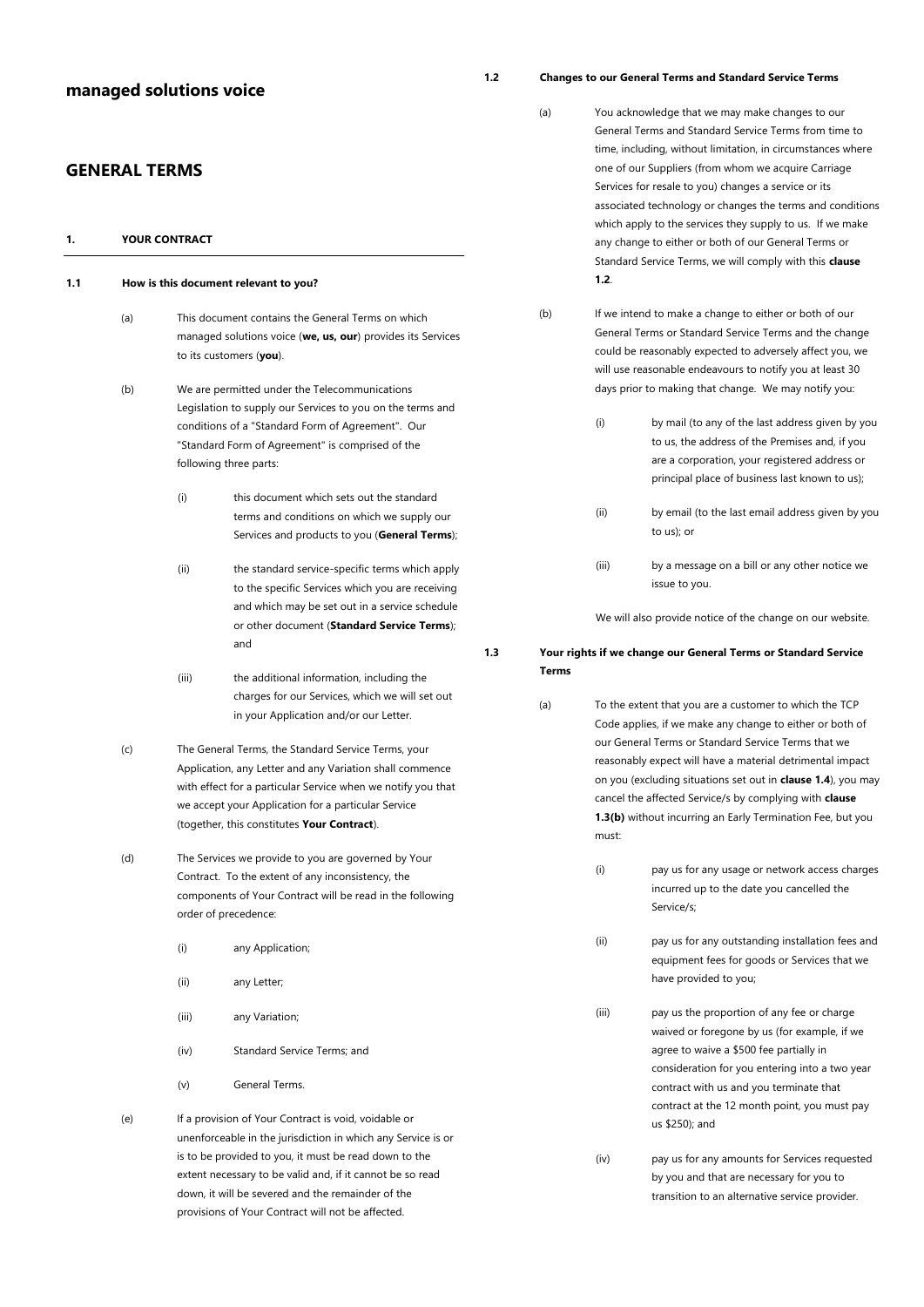# **managed solutions voice**

# **GENERAL TERMS**

<span id="page-2-8"></span><span id="page-2-7"></span><span id="page-2-1"></span><span id="page-2-0"></span>

| 1.  | <b>YOUR CONTRACT</b>                  |       |                                                                                                                                                                                                                                                                                                 |  |  |
|-----|---------------------------------------|-------|-------------------------------------------------------------------------------------------------------------------------------------------------------------------------------------------------------------------------------------------------------------------------------------------------|--|--|
| 1.1 | How is this document relevant to you? |       |                                                                                                                                                                                                                                                                                                 |  |  |
|     | (a)                                   |       | This document contains the General Terms on which<br>managed solutions voice (we, us, our) provides its Services<br>to its customers (you).                                                                                                                                                     |  |  |
|     | (b)                                   |       | We are permitted under the Telecommunications<br>Legislation to supply our Services to you on the terms and<br>conditions of a "Standard Form of Agreement". Our<br>"Standard Form of Agreement" is comprised of the<br>following three parts:                                                  |  |  |
|     |                                       | (i)   | this document which sets out the standard<br>terms and conditions on which we supply our<br>Services and products to you (General Terms);                                                                                                                                                       |  |  |
|     |                                       | (ii)  | the standard service-specific terms which apply<br>to the specific Services which you are receiving<br>and which may be set out in a service schedule<br>or other document (Standard Service Terms);<br>and                                                                                     |  |  |
|     |                                       | (iii) | the additional information, including the<br>charges for our Services, which we will set out<br>in your Application and/or our Letter.                                                                                                                                                          |  |  |
|     | (c)                                   |       | The General Terms, the Standard Service Terms, your<br>Application, any Letter and any Variation shall commence<br>with effect for a particular Service when we notify you that<br>we accept your Application for a particular Service<br>(together, this constitutes Your Contract).           |  |  |
|     | (d)                                   |       | The Services we provide to you are governed by Your<br>Contract. To the extent of any inconsistency, the<br>components of Your Contract will be read in the following<br>order of precedence:                                                                                                   |  |  |
|     |                                       | (i)   | any Application;                                                                                                                                                                                                                                                                                |  |  |
|     |                                       | (ii)  | any Letter;                                                                                                                                                                                                                                                                                     |  |  |
|     |                                       | (iii) | any Variation;                                                                                                                                                                                                                                                                                  |  |  |
|     |                                       | (iv)  | Standard Service Terms; and                                                                                                                                                                                                                                                                     |  |  |
|     |                                       | (v)   | General Terms.                                                                                                                                                                                                                                                                                  |  |  |
|     | (e)                                   |       | If a provision of Your Contract is void, voidable or<br>unenforceable in the jurisdiction in which any Service is or<br>is to be provided to you, it must be read down to the<br>extent necessary to be valid and, if it cannot be so read<br>down, it will be severed and the remainder of the |  |  |

<span id="page-2-6"></span>provisions of Your Contract will not be affected.

# <span id="page-2-2"></span>**1.2 Changes to our General Terms and Standard Service Terms**

- (a) You acknowledge that we may make changes to our General Terms and Standard Service Terms from time to time, including, without limitation, in circumstances where one of our Suppliers (from whom we acquire Carriage Services for resale to you) changes a service or its associated technology or changes the terms and conditions which apply to the services they supply to us. If we make any change to either or both of our General Terms or Standard Service Terms, we will comply with this **clause 1.2**.
- (b) If we intend to make a change to either or both of our General Terms or Standard Service Terms and the change could be reasonably expected to adversely affect you, we will use reasonable endeavours to notify you at least 30 days prior to making that change. We may notify you:
	- (i) by mail (to any of the last address given by you to us, the address of the Premises and, if you are a corporation, your registered address or principal place of business last known to us);
	- (ii) by email (to the last email address given by you to us); or
	- (iii) by a message on a bill or any other notice we issue to you.

We will also provide notice of the change on our website.

# <span id="page-2-5"></span><span id="page-2-4"></span><span id="page-2-3"></span>**1.3 Your rights if we change our General Terms or Standard Service Terms**

- (a) To the extent that you are a customer to which the TCP Code applies, if we make any change to either or both of our General Terms or Standard Service Terms that we reasonably expect will have a material detrimental impact on you (excluding situations set out in **claus[e 1.4](#page-3-0)**), you may cancel the affected Service/s by complying with **clause [1.3\(b\)](#page-3-7)** without incurring an Early Termination Fee, but you must:
	- (i) pay us for any usage or network access charges incurred up to the date you cancelled the Service/s;
	- (ii) pay us for any outstanding installation fees and equipment fees for goods or Services that we have provided to you;
	- (iii) pay us the proportion of any fee or charge waived or foregone by us (for example, if we agree to waive a \$500 fee partially in consideration for you entering into a two year contract with us and you terminate that contract at the 12 month point, you must pay us \$250); and
	- (iv) pay us for any amounts for Services requested by you and that are necessary for you to transition to an alternative service provider.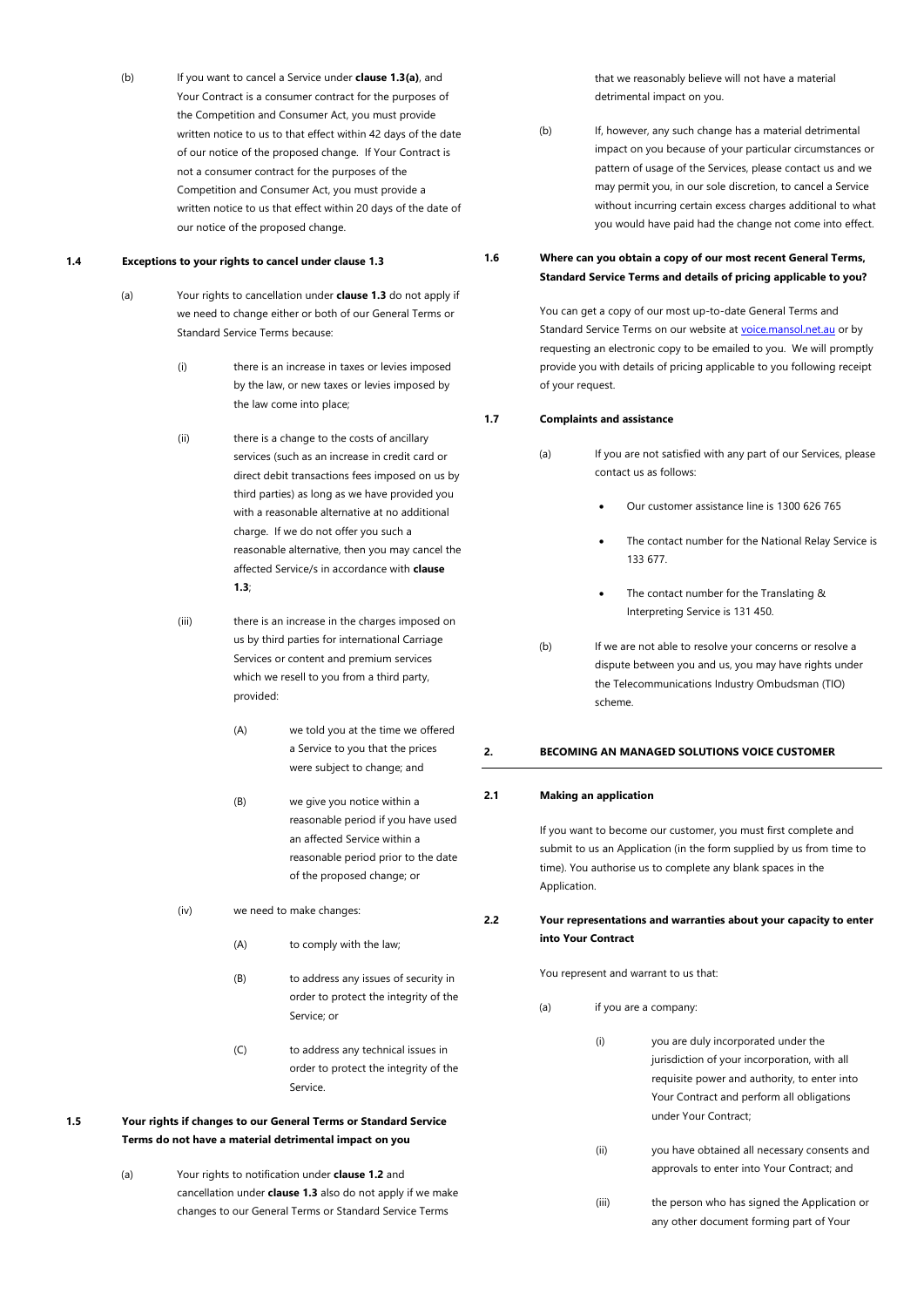<span id="page-3-7"></span>(b) If you want to cancel a Service under **claus[e 1.3\(a\)](#page-2-4)**, and Your Contract is a consumer contract for the purposes of the Competition and Consumer Act, you must provide written notice to us to that effect within 42 days of the date of our notice of the proposed change. If Your Contract is not a consumer contract for the purposes of the Competition and Consumer Act, you must provide a written notice to us that effect within 20 days of the date of our notice of the proposed change.

### <span id="page-3-0"></span>**1.4 Exceptions to your rights to cancel under claus[e 1.3](#page-2-3)**

- (a) Your rights to cancellation under **claus[e 1.3](#page-2-3)** do not apply if we need to change either or both of our General Terms or Standard Service Terms because:
	- (i) there is an increase in taxes or levies imposed by the law, or new taxes or levies imposed by the law come into place;
	- (ii) there is a change to the costs of ancillary services (such as an increase in credit card or direct debit transactions fees imposed on us by third parties) as long as we have provided you with a reasonable alternative at no additional charge. If we do not offer you such a reasonable alternative, then you may cancel the affected Service/s in accordance with **clause [1.3](#page-2-3)**;

(iii) there is an increase in the charges imposed on us by third parties for international Carriage Services or content and premium services which we resell to you from a third party. provided:

- (A) we told you at the time we offered a Service to you that the prices were subject to change; and
- (B) we give you notice within a reasonable period if you have used an affected Service within a reasonable period prior to the date of the proposed change; or
- (iv) we need to make changes:
	- (A) to comply with the law;
	- (B) to address any issues of security in order to protect the integrity of the Service; or
	- (C) to address any technical issues in order to protect the integrity of the Service.
- <span id="page-3-1"></span>**1.5 Your rights if changes to our General Terms or Standard Service Terms do not have a material detrimental impact on you**
	- (a) Your rights to notification under **claus[e 1.2](#page-2-2)** and cancellation under **claus[e 1.3](#page-2-3)** also do not apply if we make changes to our General Terms or Standard Service Terms

that we reasonably believe will not have a material detrimental impact on you.

<span id="page-3-9"></span>(b) If, however, any such change has a material detrimental impact on you because of your particular circumstances or pattern of usage of the Services, please contact us and we may permit you, in our sole discretion, to cancel a Service without incurring certain excess charges additional to what you would have paid had the change not come into effect.

# <span id="page-3-2"></span>**1.6 Where can you obtain a copy of our most recent General Terms, Standard Service Terms and details of pricing applicable to you?**

You can get a copy of our most up-to-date General Terms and Standard Service Terms on our website a[t voice.mansol.net.au](http://www.aptel.com.au/) or by requesting an electronic copy to be emailed to you. We will promptly provide you with details of pricing applicable to you following receipt of your request.

### <span id="page-3-3"></span>**1.7 Complaints and assistance**

- (a) If you are not satisfied with any part of our Services, please contact us as follows:
	- Our customer assistance line is 1300 626 765
	- The contact number for the National Relay Service is 133 677.
	- The contact number for the Translating & Interpreting Service is 131 450.
- (b) If we are not able to resolve your concerns or resolve a dispute between you and us, you may have rights under the Telecommunications Industry Ombudsman (TIO) scheme.

### <span id="page-3-4"></span>**2. BECOMING AN MANAGED SOLUTIONS VOICE CUSTOMER**

### <span id="page-3-5"></span>**2.1 Making an application**

If you want to become our customer, you must first complete and submit to us an Application (in the form supplied by us from time to time). You authorise us to complete any blank spaces in the Application.

# <span id="page-3-6"></span>**2.2 Your representations and warranties about your capacity to enter into Your Contract**

You represent and warrant to us that:

- <span id="page-3-8"></span>(a) if you are a company:
	- (i) you are duly incorporated under the jurisdiction of your incorporation, with all requisite power and authority, to enter into Your Contract and perform all obligations under Your Contract;
	- (ii) you have obtained all necessary consents and approvals to enter into Your Contract; and
	- (iii) the person who has signed the Application or any other document forming part of Your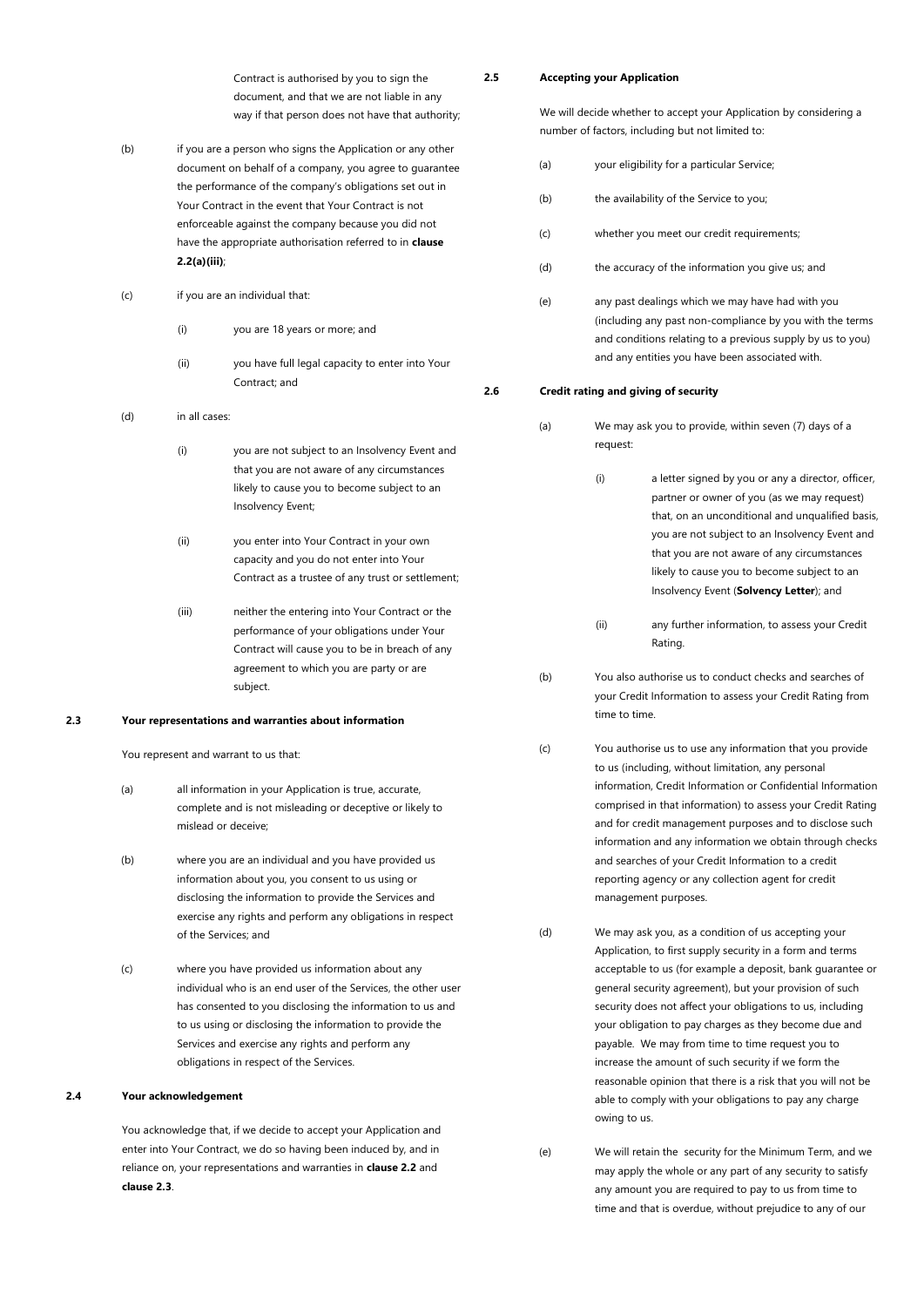Contract is authorised by you to sign the document, and that we are not liable in any way if that person does not have that authority;

- (b) if you are a person who signs the Application or any other document on behalf of a company, you agree to guarantee the performance of the company's obligations set out in Your Contract in the event that Your Contract is not enforceable against the company because you did not have the appropriate authorisation referred to in **clause [2.2\(a\)\(iii\)](#page-3-8)**;
- (c) if you are an individual that:
	- (i) you are 18 years or more; and
	- (ii) you have full legal capacity to enter into Your Contract; and

# (d) in all cases:

- (i) you are not subject to an Insolvency Event and that you are not aware of any circumstances likely to cause you to become subject to an Insolvency Event;
- (ii) you enter into Your Contract in your own capacity and you do not enter into Your Contract as a trustee of any trust or settlement;
- (iii) neither the entering into Your Contract or the performance of your obligations under Your Contract will cause you to be in breach of any agreement to which you are party or are subject.

### <span id="page-4-4"></span><span id="page-4-0"></span>**2.3 Your representations and warranties about information**

You represent and warrant to us that:

- (a) all information in your Application is true, accurate, complete and is not misleading or deceptive or likely to mislead or deceive;
- (b) where you are an individual and you have provided us information about you, you consent to us using or disclosing the information to provide the Services and exercise any rights and perform any obligations in respect of the Services; and
- (c) where you have provided us information about any individual who is an end user of the Services, the other user has consented to you disclosing the information to us and to us using or disclosing the information to provide the Services and exercise any rights and perform any obligations in respect of the Services.

# <span id="page-4-1"></span>**2.4 Your acknowledgement**

You acknowledge that, if we decide to accept your Application and enter into Your Contract, we do so having been induced by, and in reliance on, your representations and warranties in **clause [2.2](#page-3-6)** and **clause [2.3](#page-4-0)**.

<span id="page-4-2"></span>**2.5 Accepting your Application**

We will decide whether to accept your Application by considering a number of factors, including but not limited to:

- (a) your eligibility for a particular Service;
- (b) the availability of the Service to you:
- (c) whether you meet our credit requirements;
- (d) the accuracy of the information you give us; and
- (e) any past dealings which we may have had with you (including any past non-compliance by you with the terms and conditions relating to a previous supply by us to you) and any entities you have been associated with.

### <span id="page-4-5"></span><span id="page-4-3"></span>**2.6 Credit rating and giving of security**

- (a) We may ask you to provide, within seven (7) days of a request:
	- (i) a letter signed by you or any a director, officer, partner or owner of you (as we may request) that, on an unconditional and unqualified basis, you are not subject to an Insolvency Event and that you are not aware of any circumstances likely to cause you to become subject to an Insolvency Event (**Solvency Letter**); and
	- (ii) any further information, to assess your Credit Rating.
- (b) You also authorise us to conduct checks and searches of your Credit Information to assess your Credit Rating from time to time.
- (c) You authorise us to use any information that you provide to us (including, without limitation, any personal information, Credit Information or Confidential Information comprised in that information) to assess your Credit Rating and for credit management purposes and to disclose such information and any information we obtain through checks and searches of your Credit Information to a credit reporting agency or any collection agent for credit management purposes.
- (d) We may ask you, as a condition of us accepting your Application, to first supply security in a form and terms acceptable to us (for example a deposit, bank guarantee or general security agreement), but your provision of such security does not affect your obligations to us, including your obligation to pay charges as they become due and payable. We may from time to time request you to increase the amount of such security if we form the reasonable opinion that there is a risk that you will not be able to comply with your obligations to pay any charge owing to us.
- (e) We will retain the security for the Minimum Term, and we may apply the whole or any part of any security to satisfy any amount you are required to pay to us from time to time and that is overdue, without prejudice to any of our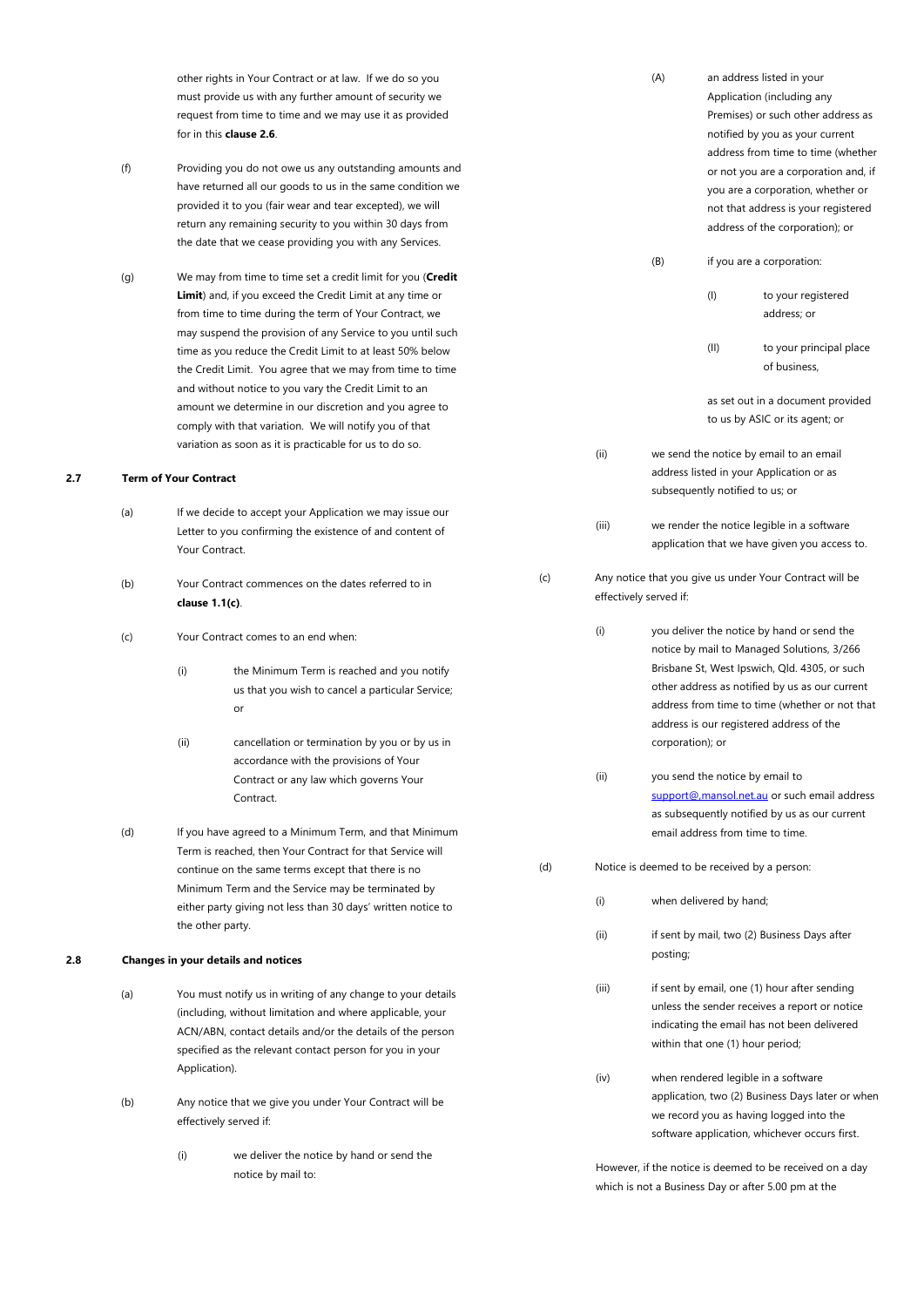other rights in Your Contract or at law. If we do so you must provide us with any further amount of security we request from time to time and we may use it as provided for in this **claus[e 2.6](#page-4-3)**.

- <span id="page-5-2"></span>(f) Providing you do not owe us any outstanding amounts and have returned all our goods to us in the same condition we provided it to you (fair wear and tear excepted), we will return any remaining security to you within 30 days from the date that we cease providing you with any Services.
- (g) We may from time to time set a credit limit for you (**Credit Limit**) and, if you exceed the Credit Limit at any time or from time to time during the term of Your Contract, we may suspend the provision of any Service to you until such time as you reduce the Credit Limit to at least 50% below the Credit Limit. You agree that we may from time to time and without notice to you vary the Credit Limit to an amount we determine in our discretion and you agree to comply with that variation. We will notify you of that variation as soon as it is practicable for us to do so.

### <span id="page-5-0"></span>**2.7 Term of Your Contract**

- (a) If we decide to accept your Application we may issue our Letter to you confirming the existence of and content of Your Contract.
- (b) Your Contract commences on the dates referred to in **clause [1.1\(c\)](#page-2-5)**.
- (c) Your Contract comes to an end when:
	- (i) the Minimum Term is reached and you notify us that you wish to cancel a particular Service; or
	- (ii) cancellation or termination by you or by us in accordance with the provisions of Your Contract or any law which governs Your Contract.
- (d) If you have agreed to a Minimum Term, and that Minimum Term is reached, then Your Contract for that Service will continue on the same terms except that there is no Minimum Term and the Service may be terminated by either party giving not less than 30 days' written notice to the other party.

# <span id="page-5-1"></span>**2.8 Changes in your details and notices**

- (a) You must notify us in writing of any change to your details (including, without limitation and where applicable, your ACN/ABN, contact details and/or the details of the person specified as the relevant contact person for you in your Application).
- (b) Any notice that we give you under Your Contract will be effectively served if:
	- (i) we deliver the notice by hand or send the notice by mail to:

|     |       |                        |                  | Premises) or such other address as<br>notified by you as your current<br>address from time to time (whether<br>or not you are a corporation and, if<br>you are a corporation, whether or<br>not that address is your registered<br>address of the corporation); or                        |
|-----|-------|------------------------|------------------|-------------------------------------------------------------------------------------------------------------------------------------------------------------------------------------------------------------------------------------------------------------------------------------------|
|     |       | (B)                    |                  | if you are a corporation:                                                                                                                                                                                                                                                                 |
|     |       |                        | (1)              | to your registered<br>address; or                                                                                                                                                                                                                                                         |
|     |       |                        | (II)             | to your principal place<br>of business,                                                                                                                                                                                                                                                   |
|     |       |                        |                  | as set out in a document provided<br>to us by ASIC or its agent; or                                                                                                                                                                                                                       |
|     | (ii)  |                        |                  | we send the notice by email to an email<br>address listed in your Application or as<br>subsequently notified to us; or                                                                                                                                                                    |
|     | (iii) |                        |                  | we render the notice legible in a software<br>application that we have given you access to.                                                                                                                                                                                               |
| (c) |       | effectively served if: |                  | Any notice that you give us under Your Contract will be                                                                                                                                                                                                                                   |
|     | (i)   |                        | corporation); or | you deliver the notice by hand or send the<br>notice by mail to Managed Solutions, 3/266<br>Brisbane St, West Ipswich, Qld. 4305, or such<br>other address as notified by us as our current<br>address from time to time (whether or not that<br>address is our registered address of the |
|     | (ii)  |                        |                  | you send the notice by email to<br>support@, mansol.net.au or such email address<br>as subsequently notified by us as our current<br>email address from time to time.                                                                                                                     |
| (d) |       |                        |                  | Notice is deemed to be received by a person:                                                                                                                                                                                                                                              |

(A) an address listed in your

Application (including any

- (i) when delivered by hand;
	- (ii) if sent by mail, two (2) Business Days after posting;
- (iii) if sent by email, one (1) hour after sending unless the sender receives a report or notice indicating the email has not been delivered within that one (1) hour period;
- (iv) when rendered legible in a software application, two (2) Business Days later or when we record you as having logged into the software application, whichever occurs first.

However, if the notice is deemed to be received on a day which is not a Business Day or after 5.00 pm at the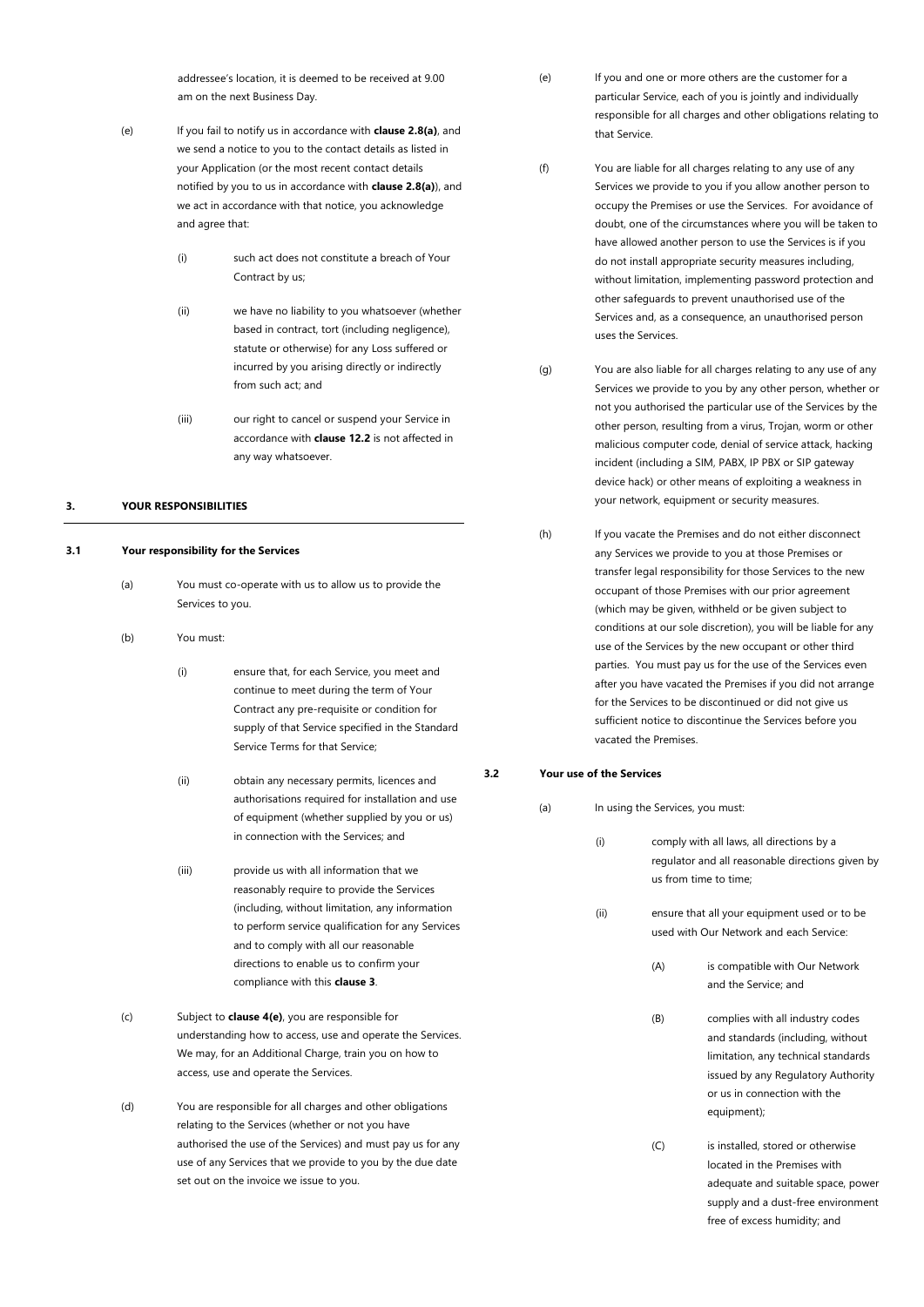addressee's location, it is deemed to be received at 9.00 am on the next Business Day.

- (e) If you fail to notify us in accordance with **clause 2.8(a)**, and we send a notice to you to the contact details as listed in your Application (or the most recent contact details notified by you to us in accordance with **clause 2.8(a)**), and we act in accordance with that notice, you acknowledge and agree that:
	- (i) such act does not constitute a breach of Your Contract by us;
	- (ii) we have no liability to you whatsoever (whether based in contract, tort (including negligence), statute or otherwise) for any Loss suffered or incurred by you arising directly or indirectly from such act; and
	- (iii) our right to cancel or suspend your Service in accordance with **claus[e 12.2](#page-15-2)** is not affected in any way whatsoever.

# <span id="page-6-0"></span>**3. YOUR RESPONSIBILITIES**

#### <span id="page-6-1"></span>**3.1 Your responsibility for the Services**

- (a) You must co-operate with us to allow us to provide the Services to you.
- (b) You must:
	- (i) ensure that, for each Service, you meet and continue to meet during the term of Your Contract any pre-requisite or condition for supply of that Service specified in the Standard Service Terms for that Service;
	- (ii) obtain any necessary permits, licences and authorisations required for installation and use of equipment (whether supplied by you or us) in connection with the Services; and
	- (iii) provide us with all information that we reasonably require to provide the Services (including, without limitation, any information to perform service qualification for any Services and to comply with all our reasonable directions to enable us to confirm your compliance with this **clause [3](#page-6-0)**.
- (c) Subject to **claus[e 4\(e\)](#page-8-4)**, you are responsible for understanding how to access, use and operate the Services. We may, for an Additional Charge, train you on how to access, use and operate the Services.
- (d) You are responsible for all charges and other obligations relating to the Services (whether or not you have authorised the use of the Services) and must pay us for any use of any Services that we provide to you by the due date set out on the invoice we issue to you.
- (e) If you and one or more others are the customer for a particular Service, each of you is jointly and individually responsible for all charges and other obligations relating to that Service.
- (f) You are liable for all charges relating to any use of any Services we provide to you if you allow another person to occupy the Premises or use the Services. For avoidance of doubt, one of the circumstances where you will be taken to have allowed another person to use the Services is if you do not install appropriate security measures including, without limitation, implementing password protection and other safeguards to prevent unauthorised use of the Services and, as a consequence, an unauthorised person uses the Services.
- (g) You are also liable for all charges relating to any use of any Services we provide to you by any other person, whether or not you authorised the particular use of the Services by the other person, resulting from a virus, Trojan, worm or other malicious computer code, denial of service attack, hacking incident (including a SIM, PABX, IP PBX or SIP gateway device hack) or other means of exploiting a weakness in your network, equipment or security measures.
- (h) If you vacate the Premises and do not either disconnect any Services we provide to you at those Premises or transfer legal responsibility for those Services to the new occupant of those Premises with our prior agreement (which may be given, withheld or be given subject to conditions at our sole discretion), you will be liable for any use of the Services by the new occupant or other third parties. You must pay us for the use of the Services even after you have vacated the Premises if you did not arrange for the Services to be discontinued or did not give us sufficient notice to discontinue the Services before you vacated the Premises.

# <span id="page-6-3"></span><span id="page-6-2"></span>**3.2 Your use of the Services**

| In using the Services, you must:<br>(a) |      |                       |                                                                                                                                                                                                   |
|-----------------------------------------|------|-----------------------|---------------------------------------------------------------------------------------------------------------------------------------------------------------------------------------------------|
|                                         | (i)  | us from time to time; | comply with all laws, all directions by a<br>regulator and all reasonable directions given by                                                                                                     |
|                                         | (ii) |                       | ensure that all your equipment used or to be<br>used with Our Network and each Service:                                                                                                           |
|                                         |      | (A)                   | is compatible with Our Network<br>and the Service; and                                                                                                                                            |
|                                         |      | (B)                   | complies with all industry codes<br>and standards (including, without<br>limitation, any technical standards<br>issued by any Regulatory Authority<br>or us in connection with the<br>equipment); |
|                                         |      | (C)                   | is installed, stored or otherwise<br>located in the Premises with<br>adequate and suitable space, power<br>supply and a dust-free environment<br>free of excess humidity; and                     |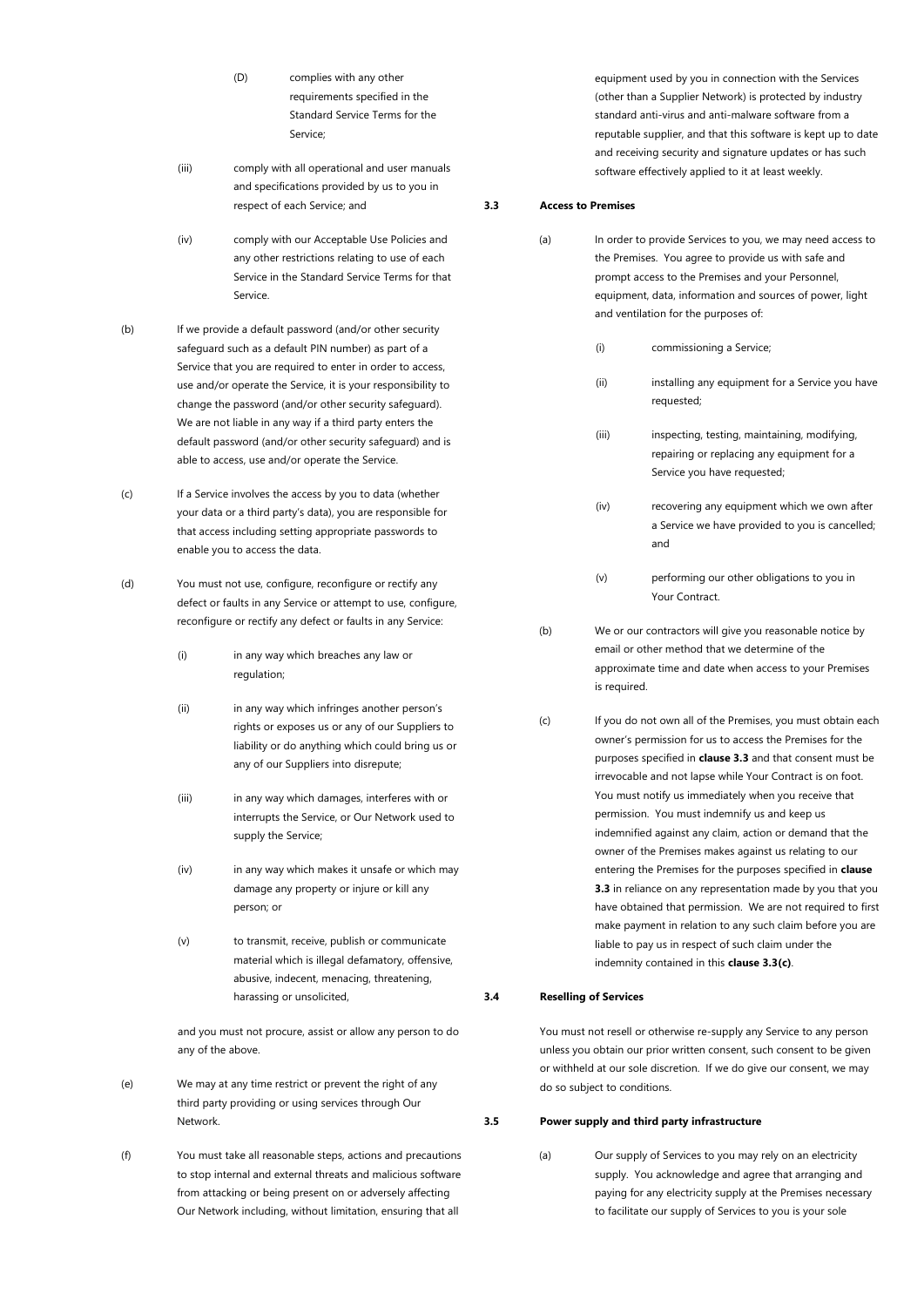- (D) complies with any other requirements specified in the Standard Service Terms for the Service;
- (iii) comply with all operational and user manuals and specifications provided by us to you in respect of each Service; and
- (iv) comply with our Acceptable Use Policies and any other restrictions relating to use of each Service in the Standard Service Terms for that Service.
- (b) If we provide a default password (and/or other security safeguard such as a default PIN number) as part of a Service that you are required to enter in order to access, use and/or operate the Service, it is your responsibility to change the password (and/or other security safeguard). We are not liable in any way if a third party enters the default password (and/or other security safeguard) and is able to access, use and/or operate the Service.
- (c) If a Service involves the access by you to data (whether your data or a third party's data), you are responsible for that access including setting appropriate passwords to enable you to access the data.
- (d) You must not use, configure, reconfigure or rectify any defect or faults in any Service or attempt to use, configure, reconfigure or rectify any defect or faults in any Service:
	- (i) in any way which breaches any law or regulation;
	- (ii) in any way which infringes another person's rights or exposes us or any of our Suppliers to liability or do anything which could bring us or any of our Suppliers into disrepute;
	- (iii) in any way which damages, interferes with or interrupts the Service, or Our Network used to supply the Service;
	- (iv) in any way which makes it unsafe or which may damage any property or injure or kill any person; or
	- (v) to transmit, receive, publish or communicate material which is illegal defamatory, offensive, abusive, indecent, menacing, threatening, harassing or unsolicited,

and you must not procure, assist or allow any person to do any of the above.

- (e) We may at any time restrict or prevent the right of any third party providing or using services through Our Network.
- (f) You must take all reasonable steps, actions and precautions to stop internal and external threats and malicious software from attacking or being present on or adversely affecting Our Network including, without limitation, ensuring that all

equipment used by you in connection with the Services (other than a Supplier Network) is protected by industry standard anti-virus and anti-malware software from a reputable supplier, and that this software is kept up to date and receiving security and signature updates or has such software effectively applied to it at least weekly.

### <span id="page-7-0"></span>**3.3 Access to Premises**

| (a) | In order to provide Services to you, we may need access to<br>the Premises. You agree to provide us with safe and<br>prompt access to the Premises and your Personnel,<br>equipment, data, information and sources of power, light<br>and ventilation for the purposes of: |                                                                                                                                                                      |  |
|-----|----------------------------------------------------------------------------------------------------------------------------------------------------------------------------------------------------------------------------------------------------------------------------|----------------------------------------------------------------------------------------------------------------------------------------------------------------------|--|
|     | (i)                                                                                                                                                                                                                                                                        | commissioning a Service;                                                                                                                                             |  |
|     | (ii)                                                                                                                                                                                                                                                                       | installing any equipment for a Service you have<br>requested;                                                                                                        |  |
|     | (iii)                                                                                                                                                                                                                                                                      | inspecting, testing, maintaining, modifying,<br>repairing or replacing any equipment for a<br>Service you have requested;                                            |  |
|     | (iv)                                                                                                                                                                                                                                                                       | recovering any equipment which we own after<br>a Service we have provided to you is cancelled;<br>and                                                                |  |
|     | (v)                                                                                                                                                                                                                                                                        | performing our other obligations to you in<br>Your Contract.                                                                                                         |  |
| (b) | is required.                                                                                                                                                                                                                                                               | We or our contractors will give you reasonable notice by<br>email or other method that we determine of the<br>approximate time and date when access to your Premises |  |
| (c) | If you do not own all of the Premises, you must obtain each<br>owner's permission for us to access the Premises for the<br>purposes specified in <b>clause 3.3</b> and that consent must be<br>irrevocable and not lapse while Your Contract is on foot.                   |                                                                                                                                                                      |  |

You must notify us immediately when you receive that permission. You must indemnify us and keep us indemnified against any claim, action or demand that the owner of the Premises makes against us relating to our entering the Premises for the purposes specified in **clause 3.3** in reliance on any representation made by you that you have obtained that permission. We are not required to first make payment in relation to any such claim before you are liable to pay us in respect of such claim under the indemnity contained in this **clause 3.3(c)**.

### <span id="page-7-1"></span>**3.4 Reselling of Services**

You must not resell or otherwise re-supply any Service to any person unless you obtain our prior written consent, such consent to be given or withheld at our sole discretion. If we do give our consent, we may do so subject to conditions.

### <span id="page-7-2"></span>**3.5 Power supply and third party infrastructure**

(a) Our supply of Services to you may rely on an electricity supply. You acknowledge and agree that arranging and paying for any electricity supply at the Premises necessary to facilitate our supply of Services to you is your sole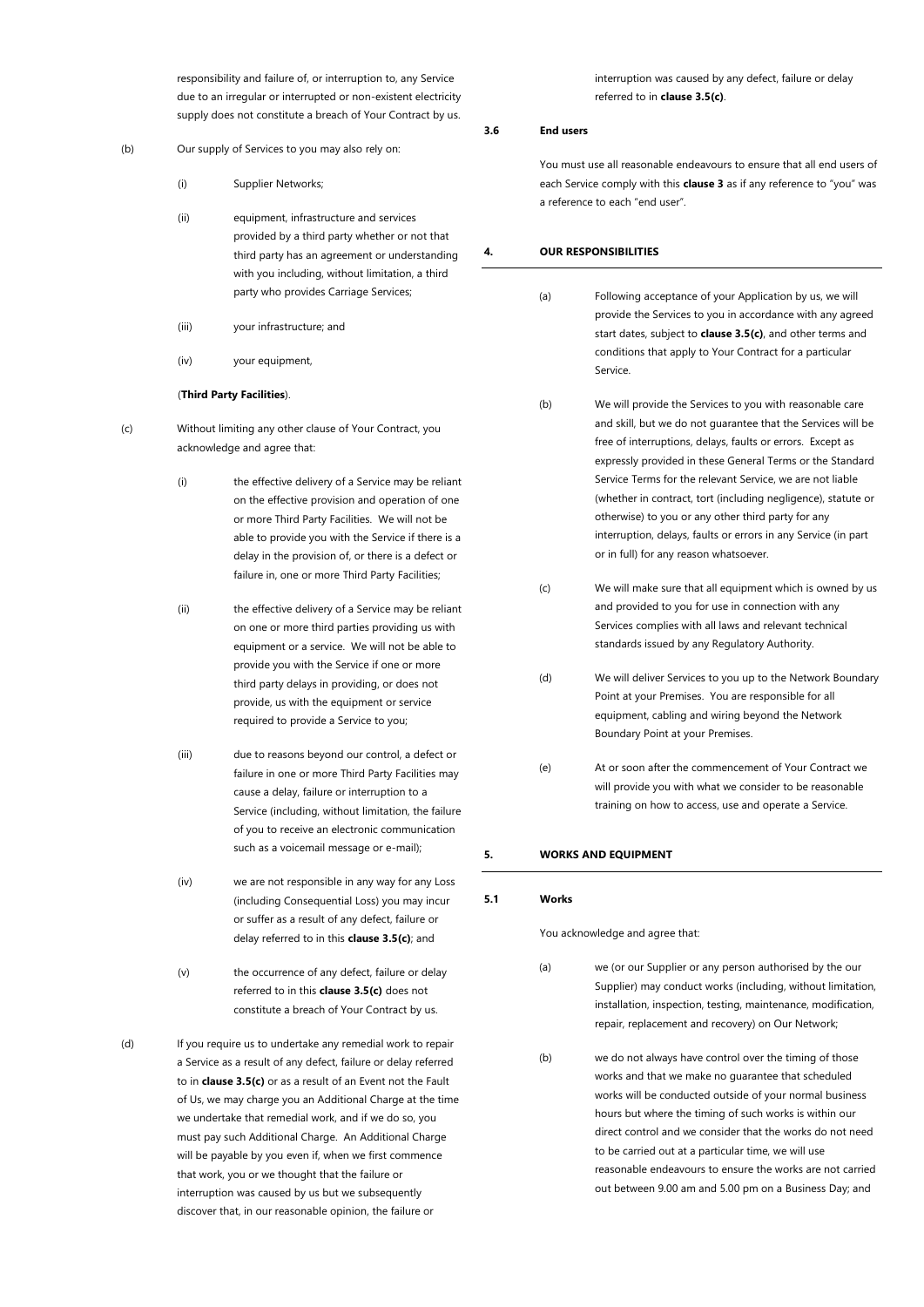responsibility and failure of, or interruption to, any Service due to an irregular or interrupted or non-existent electricity supply does not constitute a breach of Your Contract by us.

- <span id="page-8-7"></span>(b) Our supply of Services to you may also rely on:
	- (i) Supplier Networks;
	- (ii) equipment, infrastructure and services provided by a third party whether or not that third party has an agreement or understanding with you including, without limitation, a third party who provides Carriage Services;
	- (iii) your infrastructure; and
	- (iv) your equipment,

### (**Third Party Facilities**).

- <span id="page-8-5"></span>(c) Without limiting any other clause of Your Contract, you acknowledge and agree that:
	- (i) the effective delivery of a Service may be reliant on the effective provision and operation of one or more Third Party Facilities. We will not be able to provide you with the Service if there is a delay in the provision of, or there is a defect or failure in, one or more Third Party Facilities;
	- (ii) the effective delivery of a Service may be reliant on one or more third parties providing us with equipment or a service. We will not be able to provide you with the Service if one or more third party delays in providing, or does not provide, us with the equipment or service required to provide a Service to you;
	- (iii) due to reasons beyond our control, a defect or failure in one or more Third Party Facilities may cause a delay, failure or interruption to a Service (including, without limitation, the failure of you to receive an electronic communication such as a voicemail message or e-mail);
	- (iv) we are not responsible in any way for any Loss (including Consequential Loss) you may incur or suffer as a result of any defect, failure or delay referred to in this **claus[e 3.5\(c\)](#page-8-5)**; and
	- (v) the occurrence of any defect, failure or delay referred to in this **claus[e 3.5\(c\)](#page-8-5)** does not constitute a breach of Your Contract by us.

<span id="page-8-6"></span>(d) If you require us to undertake any remedial work to repair a Service as a result of any defect, failure or delay referred to in **claus[e 3.5\(c\)](#page-8-5)** or as a result of an Event not the Fault of Us, we may charge you an Additional Charge at the time we undertake that remedial work, and if we do so, you must pay such Additional Charge. An Additional Charge will be payable by you even if, when we first commence that work, you or we thought that the failure or interruption was caused by us but we subsequently discover that, in our reasonable opinion, the failure or

interruption was caused by any defect, failure or delay referred to in **claus[e 3.5\(c\)](#page-8-5)**.

# <span id="page-8-0"></span>**3.6 End users**

You must use all reasonable endeavours to ensure that all end users of each Service comply with this **clause [3](#page-6-0)** as if any reference to "you" was a reference to each "end user".

### <span id="page-8-1"></span>**4. OUR RESPONSIBILITIES**

- (a) Following acceptance of your Application by us, we will provide the Services to you in accordance with any agreed start dates, subject to **claus[e 3.5\(c\)](#page-8-5)**, and other terms and conditions that apply to Your Contract for a particular Service.
	- (b) We will provide the Services to you with reasonable care and skill, but we do not guarantee that the Services will be free of interruptions, delays, faults or errors. Except as expressly provided in these General Terms or the Standard Service Terms for the relevant Service, we are not liable (whether in contract, tort (including negligence), statute or otherwise) to you or any other third party for any interruption, delays, faults or errors in any Service (in part or in full) for any reason whatsoever.
	- (c) We will make sure that all equipment which is owned by us and provided to you for use in connection with any Services complies with all laws and relevant technical standards issued by any Regulatory Authority.
- (d) We will deliver Services to you up to the Network Boundary Point at your Premises. You are responsible for all equipment, cabling and wiring beyond the Network Boundary Point at your Premises.
- <span id="page-8-4"></span>(e) At or soon after the commencement of Your Contract we will provide you with what we consider to be reasonable training on how to access, use and operate a Service.

#### <span id="page-8-2"></span>**5. WORKS AND EQUIPMENT**

#### <span id="page-8-3"></span>**5.1 Works**

You acknowledge and agree that:

(a) we (or our Supplier or any person authorised by the our Supplier) may conduct works (including, without limitation, installation, inspection, testing, maintenance, modification, repair, replacement and recovery) on Our Network;

(b) we do not always have control over the timing of those works and that we make no guarantee that scheduled works will be conducted outside of your normal business hours but where the timing of such works is within our direct control and we consider that the works do not need to be carried out at a particular time, we will use reasonable endeavours to ensure the works are not carried out between 9.00 am and 5.00 pm on a Business Day; and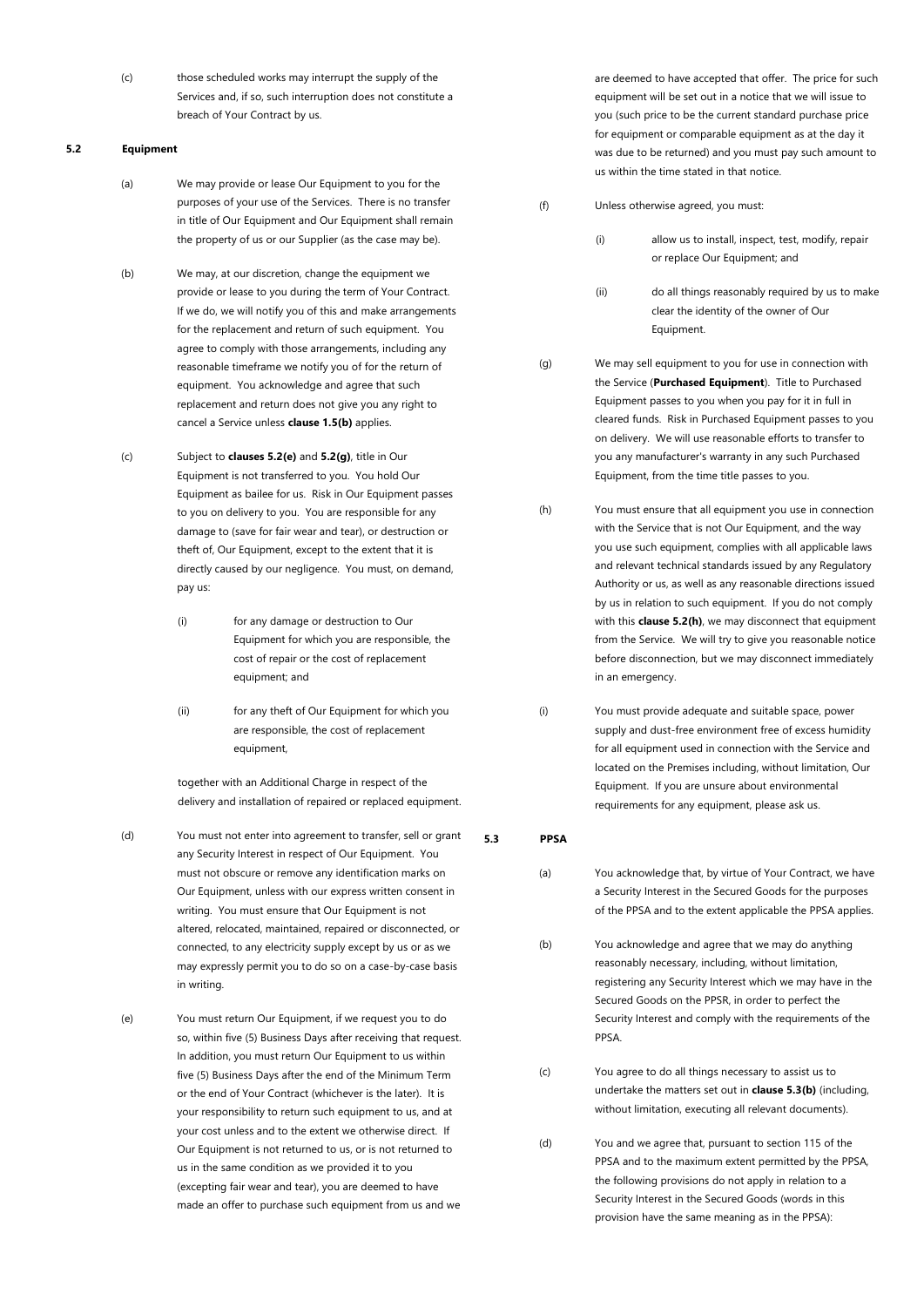(c) those scheduled works may interrupt the supply of the Services and, if so, such interruption does not constitute a breach of Your Contract by us.

# <span id="page-9-0"></span>**5.2 Equipment**

- (a) We may provide or lease Our Equipment to you for the purposes of your use of the Services. There is no transfer in title of Our Equipment and Our Equipment shall remain the property of us or our Supplier (as the case may be).
- (b) We may, at our discretion, change the equipment we provide or lease to you during the term of Your Contract. If we do, we will notify you of this and make arrangements for the replacement and return of such equipment. You agree to comply with those arrangements, including any reasonable timeframe we notify you of for the return of equipment. You acknowledge and agree that such replacement and return does not give you any right to cancel a Service unless **clause [1.5\(b\)](#page-3-9)** applies.
- (c) Subject to **clause[s 5.2\(e\)](#page-9-2)** and **[5.2\(g\)](#page-9-3)**, title in Our Equipment is not transferred to you. You hold Our Equipment as bailee for us. Risk in Our Equipment passes to you on delivery to you. You are responsible for any damage to (save for fair wear and tear), or destruction or theft of, Our Equipment, except to the extent that it is directly caused by our negligence. You must, on demand, pay us:
	- (i) for any damage or destruction to Our Equipment for which you are responsible, the cost of repair or the cost of replacement equipment; and
	- (ii) for any theft of Our Equipment for which you are responsible, the cost of replacement equipment,

together with an Additional Charge in respect of the delivery and installation of repaired or replaced equipment.

- (d) You must not enter into agreement to transfer, sell or grant any Security Interest in respect of Our Equipment. You must not obscure or remove any identification marks on Our Equipment, unless with our express written consent in writing. You must ensure that Our Equipment is not altered, relocated, maintained, repaired or disconnected, or connected, to any electricity supply except by us or as we may expressly permit you to do so on a case-by-case basis in writing.
- <span id="page-9-2"></span>(e) You must return Our Equipment, if we request you to do so, within five (5) Business Days after receiving that request. In addition, you must return Our Equipment to us within five (5) Business Days after the end of the Minimum Term or the end of Your Contract (whichever is the later). It is your responsibility to return such equipment to us, and at your cost unless and to the extent we otherwise direct. If Our Equipment is not returned to us, or is not returned to us in the same condition as we provided it to you (excepting fair wear and tear), you are deemed to have made an offer to purchase such equipment from us and we

are deemed to have accepted that offer. The price for such equipment will be set out in a notice that we will issue to you (such price to be the current standard purchase price for equipment or comparable equipment as at the day it was due to be returned) and you must pay such amount to us within the time stated in that notice.

- (f) Unless otherwise agreed, you must:
	- (i) allow us to install, inspect, test, modify, repair or replace Our Equipment; and
	- (ii) do all things reasonably required by us to make clear the identity of the owner of Our Equipment.

<span id="page-9-3"></span>(g) We may sell equipment to you for use in connection with the Service (**Purchased Equipment**). Title to Purchased Equipment passes to you when you pay for it in full in cleared funds. Risk in Purchased Equipment passes to you on delivery. We will use reasonable efforts to transfer to you any manufacturer's warranty in any such Purchased Equipment, from the time title passes to you.

- (h) You must ensure that all equipment you use in connection with the Service that is not Our Equipment, and the way you use such equipment, complies with all applicable laws and relevant technical standards issued by any Regulatory Authority or us, as well as any reasonable directions issued by us in relation to such equipment. If you do not comply with this **clause 5.2(h)**, we may disconnect that equipment from the Service. We will try to give you reasonable notice before disconnection, but we may disconnect immediately in an emergency.
- (i) You must provide adequate and suitable space, power supply and dust-free environment free of excess humidity for all equipment used in connection with the Service and located on the Premises including, without limitation, Our Equipment. If you are unsure about environmental requirements for any equipment, please ask us.

<span id="page-9-1"></span>**5.3 PPSA**

- (a) You acknowledge that, by virtue of Your Contract, we have a Security Interest in the Secured Goods for the purposes of the PPSA and to the extent applicable the PPSA applies.
- <span id="page-9-4"></span>(b) You acknowledge and agree that we may do anything reasonably necessary, including, without limitation, registering any Security Interest which we may have in the Secured Goods on the PPSR, in order to perfect the Security Interest and comply with the requirements of the PPSA.
- (c) You agree to do all things necessary to assist us to undertake the matters set out in **claus[e 5.3\(b\)](#page-9-4)** (including, without limitation, executing all relevant documents).
- (d) You and we agree that, pursuant to section 115 of the PPSA and to the maximum extent permitted by the PPSA, the following provisions do not apply in relation to a Security Interest in the Secured Goods (words in this provision have the same meaning as in the PPSA):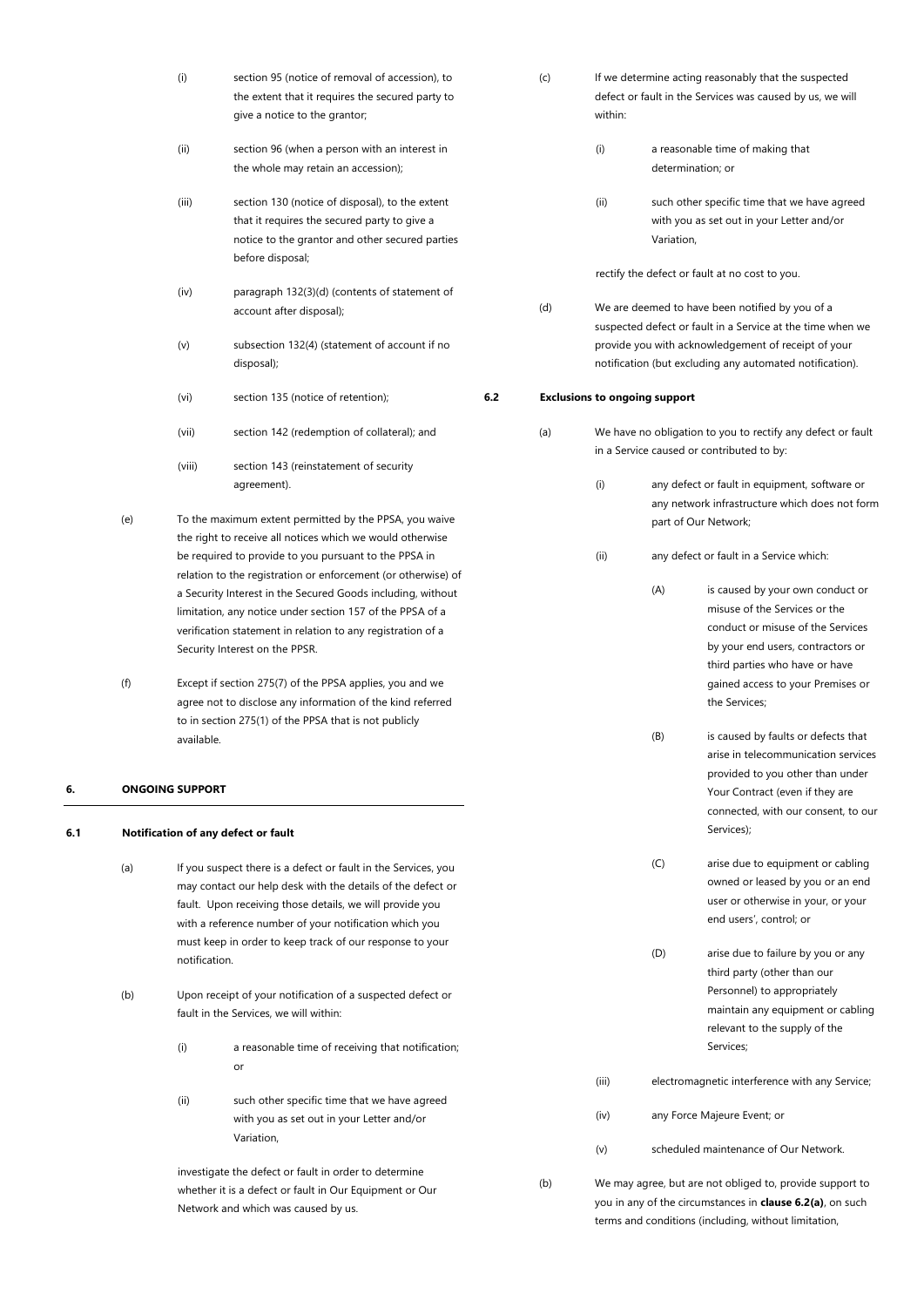| (i)   | section 95 (notice of removal of accession), to<br>the extent that it requires the secured party to<br>give a notice to the grantor;                                   |
|-------|------------------------------------------------------------------------------------------------------------------------------------------------------------------------|
| (ii)  | section 96 (when a person with an interest in<br>the whole may retain an accession);                                                                                   |
| (iii) | section 130 (notice of disposal), to the extent<br>that it requires the secured party to give a<br>notice to the grantor and other secured parties<br>before disposal; |
| (iv)  | paragraph 132(3)(d) (contents of statement of<br>account after disposal);                                                                                              |
| (v)   | subsection 132(4) (statement of account if no<br>disposal);                                                                                                            |
| (vi)  | section 135 (notice of retention);                                                                                                                                     |

- (vii) section 142 (redemption of collateral); and
- (viii) section 143 (reinstatement of security agreement).
- (e) To the maximum extent permitted by the PPSA, you waive the right to receive all notices which we would otherwise be required to provide to you pursuant to the PPSA in relation to the registration or enforcement (or otherwise) of a Security Interest in the Secured Goods including, without limitation, any notice under section 157 of the PPSA of a verification statement in relation to any registration of a Security Interest on the PPSR.
- (f) Except if section 275(7) of the PPSA applies, you and we agree not to disclose any information of the kind referred to in section 275(1) of the PPSA that is not publicly available.

# <span id="page-10-0"></span>**6. ONGOING SUPPORT**

### <span id="page-10-1"></span>**6.1 Notification of any defect or fault**

- (a) If you suspect there is a defect or fault in the Services, you may contact our help desk with the details of the defect or fault. Upon receiving those details, we will provide you with a reference number of your notification which you must keep in order to keep track of our response to your notification.
- (b) Upon receipt of your notification of a suspected defect or fault in the Services, we will within:
	- (i) a reasonable time of receiving that notification; or
	- (ii) such other specific time that we have agreed with you as set out in your Letter and/or Variation,

investigate the defect or fault in order to determine whether it is a defect or fault in Our Equipment or Our Network and which was caused by us.

| (c) | If we determine acting reasonably that the suspected      |
|-----|-----------------------------------------------------------|
|     | defect or fault in the Services was caused by us, we will |
|     | within:                                                   |

(i) a reasonable time of making that determination; or

(ii) such other specific time that we have agreed with you as set out in your Letter and/or Variation,

rectify the defect or fault at no cost to you.

(d) We are deemed to have been notified by you of a suspected defect or fault in a Service at the time when we provide you with acknowledgement of receipt of your notification (but excluding any automated notification).

### <span id="page-10-3"></span><span id="page-10-2"></span>**6.2 Exclusions to ongoing support**

(a) We have no obligation to you to rectify any defect or fault in a Service caused or contributed to by:

> (i) any defect or fault in equipment, software or any network infrastructure which does not form part of Our Network;

(ii) any defect or fault in a Service which:

|       | (A)                                   | is caused by your own conduct or<br>misuse of the Services or the<br>conduct or misuse of the Services<br>by your end users, contractors or<br>third parties who have or have<br>gained access to your Premises or<br>the Services: |  |
|-------|---------------------------------------|-------------------------------------------------------------------------------------------------------------------------------------------------------------------------------------------------------------------------------------|--|
|       | (B)                                   | is caused by faults or defects that<br>arise in telecommunication services<br>provided to you other than under<br>Your Contract (even if they are<br>connected, with our consent, to our<br>Services):                              |  |
|       | (C)                                   | arise due to equipment or cabling<br>owned or leased by you or an end<br>user or otherwise in your, or your<br>end users', control; or                                                                                              |  |
|       | (D)                                   | arise due to failure by you or any<br>third party (other than our<br>Personnel) to appropriately<br>maintain any equipment or cabling<br>relevant to the supply of the<br>Services:                                                 |  |
| (iii) |                                       | electromagnetic interference with any Service;                                                                                                                                                                                      |  |
| (iv)  |                                       | any Force Majeure Event; or                                                                                                                                                                                                         |  |
| (v)   | scheduled maintenance of Our Network. |                                                                                                                                                                                                                                     |  |

<span id="page-10-4"></span>(b) We may agree, but are not obliged to, provide support to you in any of the circumstances in **clause [6.2\(a\)](#page-10-3)**, on such terms and conditions (including, without limitation,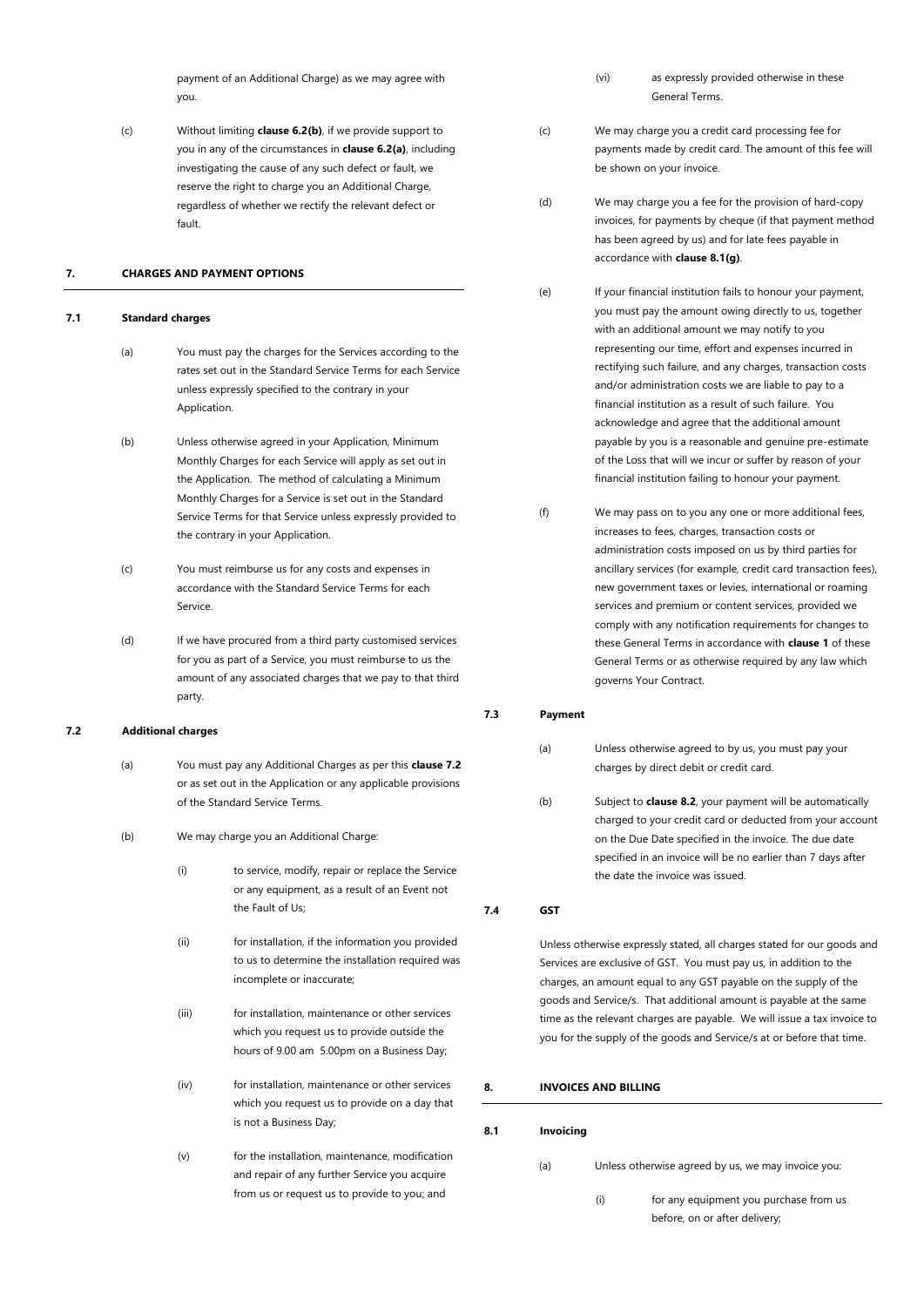payment of an Additional Charge) as we may agree with you.

(c) Without limiting **claus[e 6.2\(b\)](#page-10-4)**, if we provide support to you in any of the circumstances in **claus[e 6.2](#page-10-2)[\(a\)](#page-10-3)**, including investigating the cause of any such defect or fault, we reserve the right to charge you an Additional Charge, regardless of whether we rectify the relevant defect or fault.

### <span id="page-11-0"></span>**7. CHARGES AND PAYMENT OPTIONS**

### <span id="page-11-1"></span>**7.1 Standard charges**

- (a) You must pay the charges for the Services according to the rates set out in the Standard Service Terms for each Service unless expressly specified to the contrary in your Application.
- (b) Unless otherwise agreed in your Application, Minimum Monthly Charges for each Service will apply as set out in the Application. The method of calculating a Minimum Monthly Charges for a Service is set out in the Standard Service Terms for that Service unless expressly provided to the contrary in your Application.
- (c) You must reimburse us for any costs and expenses in accordance with the Standard Service Terms for each Service.
- (d) If we have procured from a third party customised services for you as part of a Service, you must reimburse to us the amount of any associated charges that we pay to that third party.

### <span id="page-11-2"></span>**7.2 Additional charges**

- (a) You must pay any Additional Charges as per this **claus[e 7.2](#page-11-2)** or as set out in the Application or any applicable provisions of the Standard Service Terms.
- (b) We may charge you an Additional Charge:
	- (i) to service, modify, repair or replace the Service or any equipment, as a result of an Event not the Fault of Us;
	- (ii) for installation, if the information you provided to us to determine the installation required was incomplete or inaccurate;
	- (iii) for installation, maintenance or other services which you request us to provide outside the hours of 9.00 am 5.00pm on a Business Day;
	- (iv) for installation, maintenance or other services which you request us to provide on a day that is not a Business Day;
	- (v) for the installation, maintenance, modification and repair of any further Service you acquire from us or request us to provide to you; and
- (vi) as expressly provided otherwise in these General Terms.
- (c) We may charge you a credit card processing fee for payments made by credit card. The amount of this fee will be shown on your invoice.
- (d) We may charge you a fee for the provision of hard-copy invoices, for payments by cheque (if that payment method has been agreed by us) and for late fees payable in accordance with **claus[e 8.1\(g\)](#page-12-3)**.
- (e) If your financial institution fails to honour your payment, you must pay the amount owing directly to us, together with an additional amount we may notify to you representing our time, effort and expenses incurred in rectifying such failure, and any charges, transaction costs and/or administration costs we are liable to pay to a financial institution as a result of such failure. You acknowledge and agree that the additional amount payable by you is a reasonable and genuine pre-estimate of the Loss that will we incur or suffer by reason of your financial institution failing to honour your payment.
- (f) We may pass on to you any one or more additional fees, increases to fees, charges, transaction costs or administration costs imposed on us by third parties for ancillary services (for example, credit card transaction fees), new government taxes or levies, international or roaming services and premium or content services, provided we comply with any notification requirements for changes to these General Terms in accordance with **claus[e 1](#page-2-0)** of these General Terms or as otherwise required by any law which governs Your Contract.

### <span id="page-11-3"></span>**7.3 Payment**

- (a) Unless otherwise agreed to by us, you must pay your charges by direct debit or credit card.
- (b) Subject to **claus[e 8.2](#page-12-0)**, your payment will be automatically charged to your credit card or deducted from your account on the Due Date specified in the invoice. The due date specified in an invoice will be no earlier than 7 days after the date the invoice was issued.

<span id="page-11-4"></span>**7.4 GST**

Unless otherwise expressly stated, all charges stated for our goods and Services are exclusive of GST. You must pay us, in addition to the charges, an amount equal to any GST payable on the supply of the goods and Service/s. That additional amount is payable at the same time as the relevant charges are payable. We will issue a tax invoice to you for the supply of the goods and Service/s at or before that time.

# <span id="page-11-5"></span>**8. INVOICES AND BILLING**

### <span id="page-11-6"></span>**8.1 Invoicing**

- (a) Unless otherwise agreed by us, we may invoice you:
	- (i) for any equipment you purchase from us before, on or after delivery;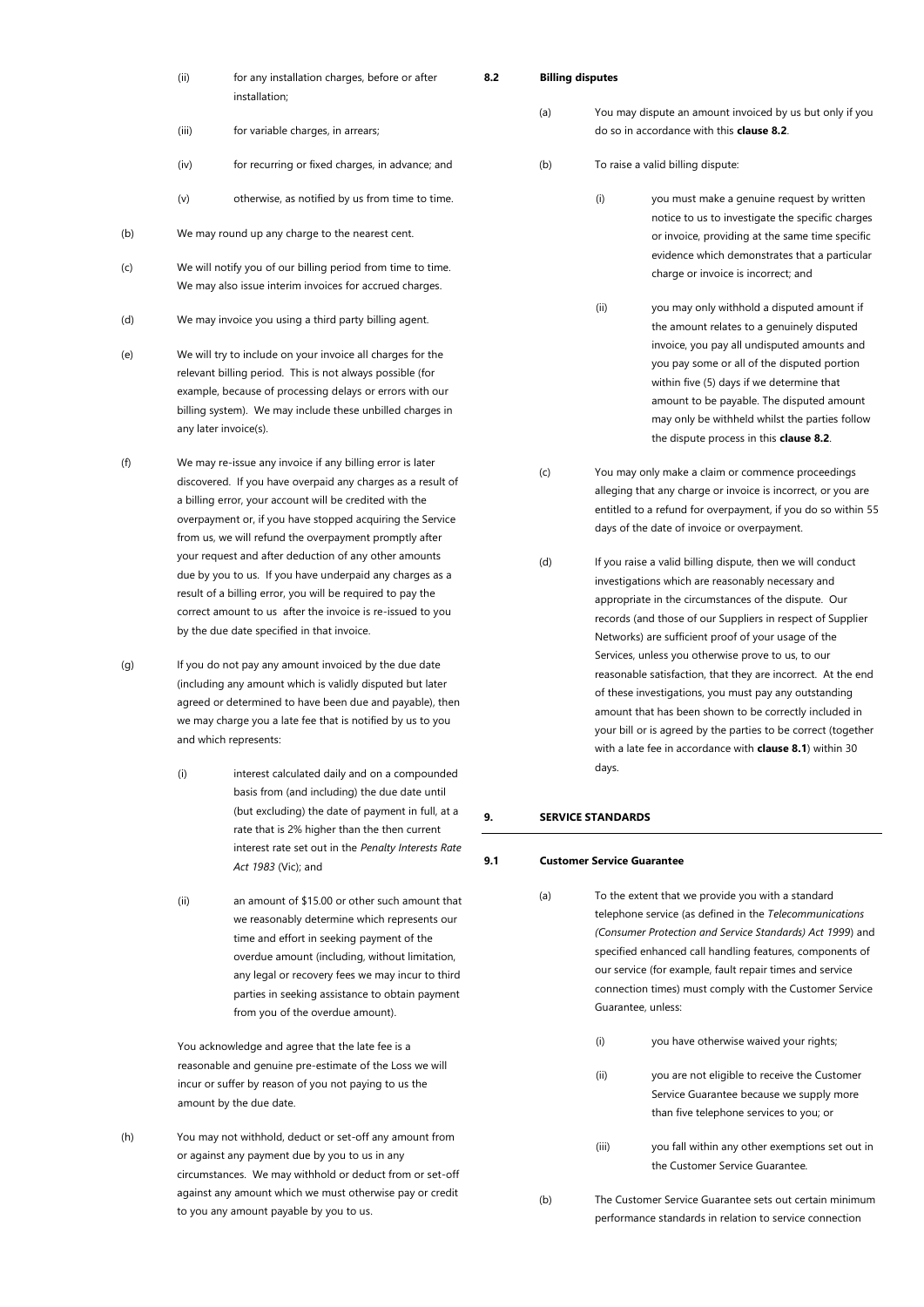| (ii) | for any installation charges, before or after |
|------|-----------------------------------------------|
|      | installation:                                 |
|      |                                               |

- (iii) for variable charges, in arrears;
- (iv) for recurring or fixed charges, in advance; and
- (v) otherwise, as notified by us from time to time.
- (b) We may round up any charge to the nearest cent.
- (c) We will notify you of our billing period from time to time. We may also issue interim invoices for accrued charges.
- (d) We may invoice you using a third party billing agent.
- (e) We will try to include on your invoice all charges for the relevant billing period. This is not always possible (for example, because of processing delays or errors with our billing system). We may include these unbilled charges in any later invoice(s).
- (f) We may re-issue any invoice if any billing error is later discovered. If you have overpaid any charges as a result of a billing error, your account will be credited with the overpayment or, if you have stopped acquiring the Service from us, we will refund the overpayment promptly after your request and after deduction of any other amounts due by you to us. If you have underpaid any charges as a result of a billing error, you will be required to pay the correct amount to us after the invoice is re-issued to you by the due date specified in that invoice.
- <span id="page-12-3"></span>(g) If you do not pay any amount invoiced by the due date (including any amount which is validly disputed but later agreed or determined to have been due and payable), then we may charge you a late fee that is notified by us to you and which represents:
	- (i) interest calculated daily and on a compounded basis from (and including) the due date until (but excluding) the date of payment in full, at a rate that is 2% higher than the then current interest rate set out in the *Penalty Interests Rate Act 1983* (Vic); and
	- (ii) an amount of \$15.00 or other such amount that we reasonably determine which represents our time and effort in seeking payment of the overdue amount (including, without limitation, any legal or recovery fees we may incur to third parties in seeking assistance to obtain payment from you of the overdue amount).

You acknowledge and agree that the late fee is a reasonable and genuine pre-estimate of the Loss we will incur or suffer by reason of you not paying to us the amount by the due date.

(h) You may not withhold, deduct or set-off any amount from or against any payment due by you to us in any circumstances. We may withhold or deduct from or set-off against any amount which we must otherwise pay or credit to you any amount payable by you to us.

### <span id="page-12-0"></span>**8.2 Billing disputes**

- (a) You may dispute an amount invoiced by us but only if you do so in accordance with this **claus[e 8.2](#page-12-0)**.
- (b) To raise a valid billing dispute:
	- (i) you must make a genuine request by written notice to us to investigate the specific charges or invoice, providing at the same time specific evidence which demonstrates that a particular charge or invoice is incorrect; and
	- (ii) you may only withhold a disputed amount if the amount relates to a genuinely disputed invoice, you pay all undisputed amounts and you pay some or all of the disputed portion within five (5) days if we determine that amount to be payable. The disputed amount may only be withheld whilst the parties follow the dispute process in this **claus[e 8.2](#page-12-0)**.
- (c) You may only make a claim or commence proceedings alleging that any charge or invoice is incorrect, or you are entitled to a refund for overpayment, if you do so within 55 days of the date of invoice or overpayment.
- (d) If you raise a valid billing dispute, then we will conduct investigations which are reasonably necessary and appropriate in the circumstances of the dispute. Our records (and those of our Suppliers in respect of Supplier Networks) are sufficient proof of your usage of the Services, unless you otherwise prove to us, to our reasonable satisfaction, that they are incorrect. At the end of these investigations, you must pay any outstanding amount that has been shown to be correctly included in your bill or is agreed by the parties to be correct (together with a late fee in accordance with **clause [8.1](#page-11-6)**) within 30 days.

### <span id="page-12-1"></span>**9. SERVICE STANDARDS**

### <span id="page-12-2"></span>**9.1 Customer Service Guarantee**

- (a) To the extent that we provide you with a standard telephone service (as defined in the *Telecommunications (Consumer Protection and Service Standards) Act 1999*) and specified enhanced call handling features, components of our service (for example, fault repair times and service connection times) must comply with the Customer Service Guarantee, unless:
	- (i) you have otherwise waived your rights;
	- (ii) you are not eligible to receive the Customer Service Guarantee because we supply more than five telephone services to you; or
	- (iii) you fall within any other exemptions set out in the Customer Service Guarantee*.*
- (b) The Customer Service Guarantee sets out certain minimum performance standards in relation to service connection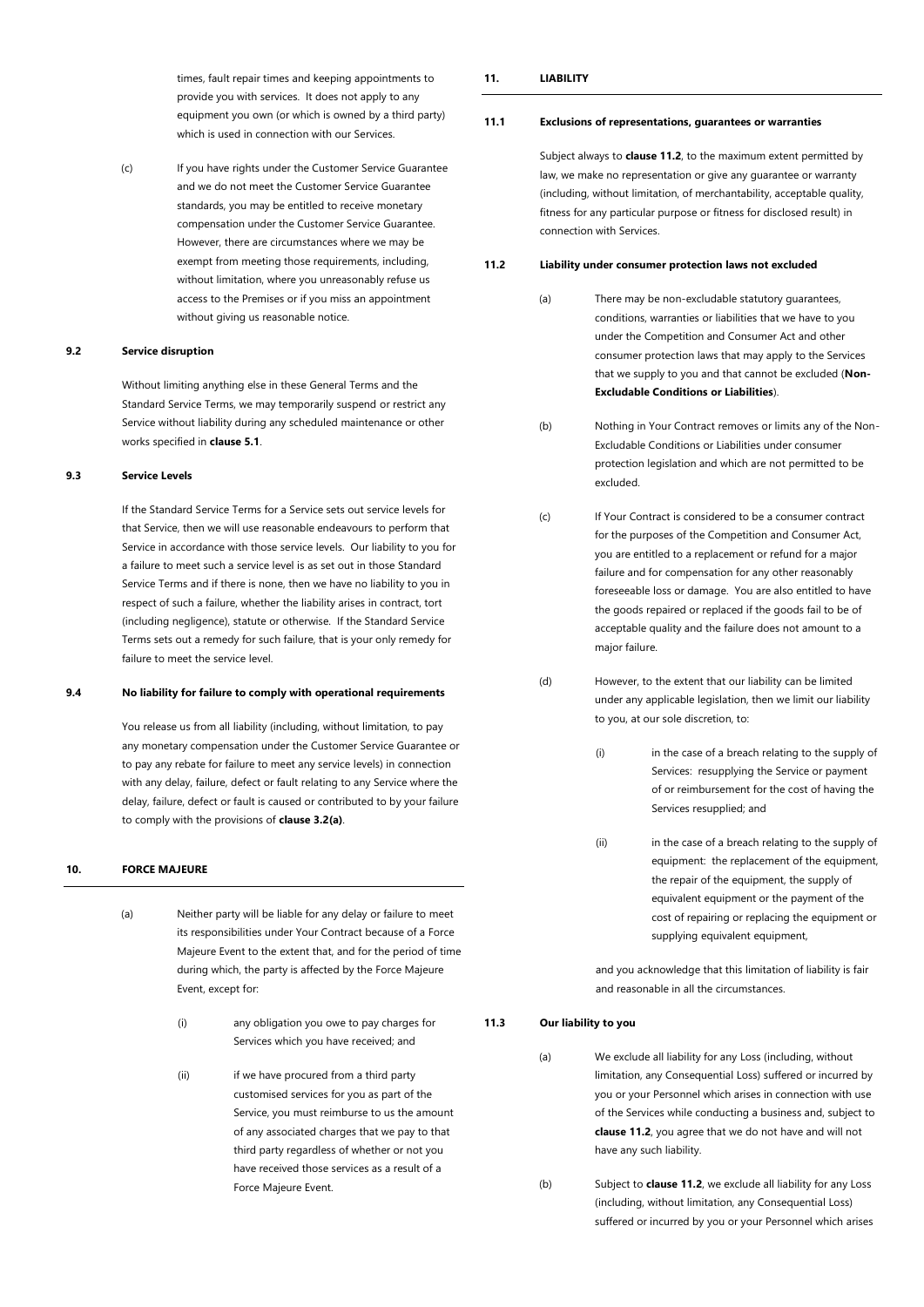times, fault repair times and keeping appointments to provide you with services. It does not apply to any equipment you own (or which is owned by a third party) which is used in connection with our Services.

(c) If you have rights under the Customer Service Guarantee and we do not meet the Customer Service Guarantee standards, you may be entitled to receive monetary compensation under the Customer Service Guarantee. However, there are circumstances where we may be exempt from meeting those requirements, including, without limitation, where you unreasonably refuse us access to the Premises or if you miss an appointment without giving us reasonable notice.

### <span id="page-13-0"></span>**9.2 Service disruption**

Without limiting anything else in these General Terms and the Standard Service Terms, we may temporarily suspend or restrict any Service without liability during any scheduled maintenance or other works specified in **clause [5.1](#page-8-3)**.

# <span id="page-13-1"></span>**9.3 Service Levels**

If the Standard Service Terms for a Service sets out service levels for that Service, then we will use reasonable endeavours to perform that Service in accordance with those service levels. Our liability to you for a failure to meet such a service level is as set out in those Standard Service Terms and if there is none, then we have no liability to you in respect of such a failure, whether the liability arises in contract, tort (including negligence), statute or otherwise. If the Standard Service Terms sets out a remedy for such failure, that is your only remedy for failure to meet the service level.

#### <span id="page-13-2"></span>**9.4 No liability for failure to comply with operational requirements**

You release us from all liability (including, without limitation, to pay any monetary compensation under the Customer Service Guarantee or to pay any rebate for failure to meet any service levels) in connection with any delay, failure, defect or fault relating to any Service where the delay, failure, defect or fault is caused or contributed to by your failure to comply with the provisions of **clause [3.2\(a\)](#page-6-3)**.

# <span id="page-13-3"></span>**10. FORCE MAJEURE**

- (a) Neither party will be liable for any delay or failure to meet its responsibilities under Your Contract because of a Force Majeure Event to the extent that, and for the period of time during which, the party is affected by the Force Majeure Event, except for:
	- (i) any obligation you owe to pay charges for Services which you have received; and
	- (ii) if we have procured from a third party customised services for you as part of the Service, you must reimburse to us the amount of any associated charges that we pay to that third party regardless of whether or not you have received those services as a result of a Force Majeure Event.

# <span id="page-13-4"></span>**11. LIABILITY**

#### <span id="page-13-5"></span>**11.1 Exclusions of representations, guarantees or warranties**

Subject always to **clause [11.2](#page-13-6)**, to the maximum extent permitted by law, we make no representation or give any guarantee or warranty (including, without limitation, of merchantability, acceptable quality, fitness for any particular purpose or fitness for disclosed result) in connection with Services.

### <span id="page-13-8"></span><span id="page-13-6"></span>**11.2 Liability under consumer protection laws not excluded**

- (a) There may be non-excludable statutory guarantees, conditions, warranties or liabilities that we have to you under the Competition and Consumer Act and other consumer protection laws that may apply to the Services that we supply to you and that cannot be excluded (**Non-Excludable Conditions or Liabilities**).
- (b) Nothing in Your Contract removes or limits any of the Non-Excludable Conditions or Liabilities under consumer protection legislation and which are not permitted to be excluded.
- (c) If Your Contract is considered to be a consumer contract for the purposes of the Competition and Consumer Act, you are entitled to a replacement or refund for a major failure and for compensation for any other reasonably foreseeable loss or damage. You are also entitled to have the goods repaired or replaced if the goods fail to be of acceptable quality and the failure does not amount to a major failure.
- (d) However, to the extent that our liability can be limited under any applicable legislation, then we limit our liability to you, at our sole discretion, to:
	- (i) in the case of a breach relating to the supply of Services: resupplying the Service or payment of or reimbursement for the cost of having the Services resupplied; and
	- (ii) in the case of a breach relating to the supply of equipment: the replacement of the equipment. the repair of the equipment, the supply of equivalent equipment or the payment of the cost of repairing or replacing the equipment or supplying equivalent equipment,

and you acknowledge that this limitation of liability is fair and reasonable in all the circumstances.

#### <span id="page-13-7"></span>**11.3 Our liability to you**

(a) We exclude all liability for any Loss (including, without limitation, any Consequential Loss) suffered or incurred by you or your Personnel which arises in connection with use of the Services while conducting a business and, subject to **claus[e 11.2](#page-13-6)**, you agree that we do not have and will not have any such liability.

(b) Subject to **claus[e 11.2](#page-13-6)**, we exclude all liability for any Loss (including, without limitation, any Consequential Loss) suffered or incurred by you or your Personnel which arises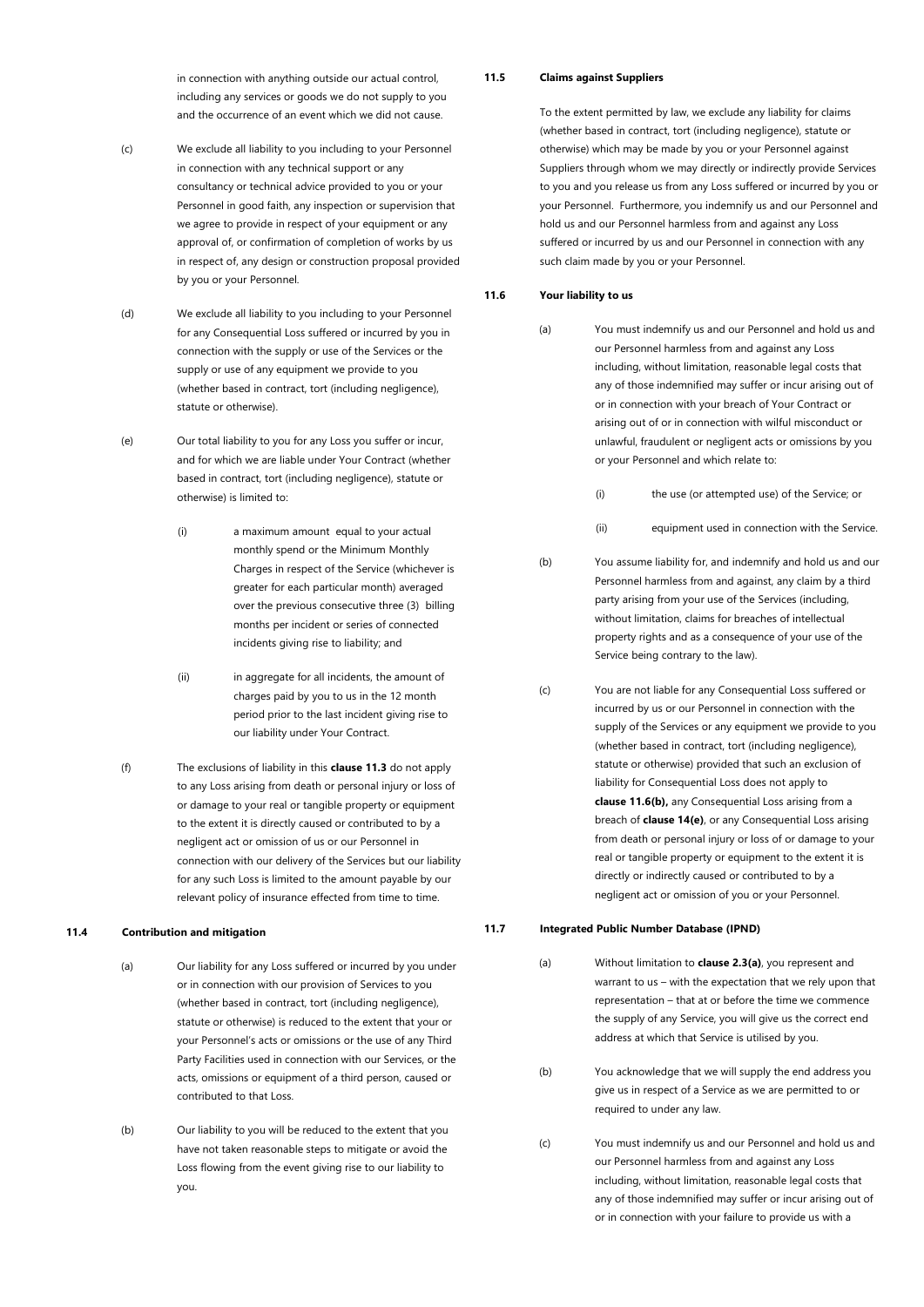in connection with anything outside our actual control, including any services or goods we do not supply to you and the occurrence of an event which we did not cause.

- (c) We exclude all liability to you including to your Personnel in connection with any technical support or any consultancy or technical advice provided to you or your Personnel in good faith, any inspection or supervision that we agree to provide in respect of your equipment or any approval of, or confirmation of completion of works by us in respect of, any design or construction proposal provided by you or your Personnel.
- (d) We exclude all liability to you including to your Personnel for any Consequential Loss suffered or incurred by you in connection with the supply or use of the Services or the supply or use of any equipment we provide to you (whether based in contract, tort (including negligence), statute or otherwise).
- (e) Our total liability to you for any Loss you suffer or incur, and for which we are liable under Your Contract (whether based in contract, tort (including negligence), statute or otherwise) is limited to:
	- (i) a maximum amount equal to your actual monthly spend or the Minimum Monthly Charges in respect of the Service (whichever is greater for each particular month) averaged over the previous consecutive three (3) billing months per incident or series of connected incidents giving rise to liability; and
	- (ii) in aggregate for all incidents, the amount of charges paid by you to us in the 12 month period prior to the last incident giving rise to our liability under Your Contract.
- (f) The exclusions of liability in this **clause [11.3](#page-13-7)** do not apply to any Loss arising from death or personal injury or loss of or damage to your real or tangible property or equipment to the extent it is directly caused or contributed to by a negligent act or omission of us or our Personnel in connection with our delivery of the Services but our liability for any such Loss is limited to the amount payable by our relevant policy of insurance effected from time to time.

### <span id="page-14-0"></span>**11.4 Contribution and mitigation**

- (a) Our liability for any Loss suffered or incurred by you under or in connection with our provision of Services to you (whether based in contract, tort (including negligence), statute or otherwise) is reduced to the extent that your or your Personnel's acts or omissions or the use of any Third Party Facilities used in connection with our Services, or the acts, omissions or equipment of a third person, caused or contributed to that Loss.
- (b) Our liability to you will be reduced to the extent that you have not taken reasonable steps to mitigate or avoid the Loss flowing from the event giving rise to our liability to you.

<span id="page-14-1"></span>**11.5 Claims against Suppliers**

To the extent permitted by law, we exclude any liability for claims (whether based in contract, tort (including negligence), statute or otherwise) which may be made by you or your Personnel against Suppliers through whom we may directly or indirectly provide Services to you and you release us from any Loss suffered or incurred by you or your Personnel. Furthermore, you indemnify us and our Personnel and hold us and our Personnel harmless from and against any Loss suffered or incurred by us and our Personnel in connection with any such claim made by you or your Personnel.

# <span id="page-14-2"></span>**11.6 Your liability to us**

- (a) You must indemnify us and our Personnel and hold us and our Personnel harmless from and against any Loss including, without limitation, reasonable legal costs that any of those indemnified may suffer or incur arising out of or in connection with your breach of Your Contract or arising out of or in connection with wilful misconduct or unlawful, fraudulent or negligent acts or omissions by you or your Personnel and which relate to:
	- (i) the use (or attempted use) of the Service; or
	- (ii) equipment used in connection with the Service.
- <span id="page-14-4"></span>(b) You assume liability for, and indemnify and hold us and our Personnel harmless from and against, any claim by a third party arising from your use of the Services (including, without limitation, claims for breaches of intellectual property rights and as a consequence of your use of the Service being contrary to the law).
- (c) You are not liable for any Consequential Loss suffered or incurred by us or our Personnel in connection with the supply of the Services or any equipment we provide to you (whether based in contract, tort (including negligence), statute or otherwise) provided that such an exclusion of liability for Consequential Loss does not apply to **clause [11.6\(b\),](#page-14-4)** any Consequential Loss arising from a breach of **claus[e 14\(e\)](#page-18-2)**, or any Consequential Loss arising from death or personal injury or loss of or damage to your real or tangible property or equipment to the extent it is directly or indirectly caused or contributed to by a negligent act or omission of you or your Personnel.

# <span id="page-14-3"></span>**11.7 Integrated Public Number Database (IPND)**

- (a) Without limitation to **claus[e 2.3\(a\)](#page-4-4)**, you represent and warrant to us – with the expectation that we rely upon that representation – that at or before the time we commence the supply of any Service, you will give us the correct end address at which that Service is utilised by you.
- (b) You acknowledge that we will supply the end address you give us in respect of a Service as we are permitted to or required to under any law.
- (c) You must indemnify us and our Personnel and hold us and our Personnel harmless from and against any Loss including, without limitation, reasonable legal costs that any of those indemnified may suffer or incur arising out of or in connection with your failure to provide us with a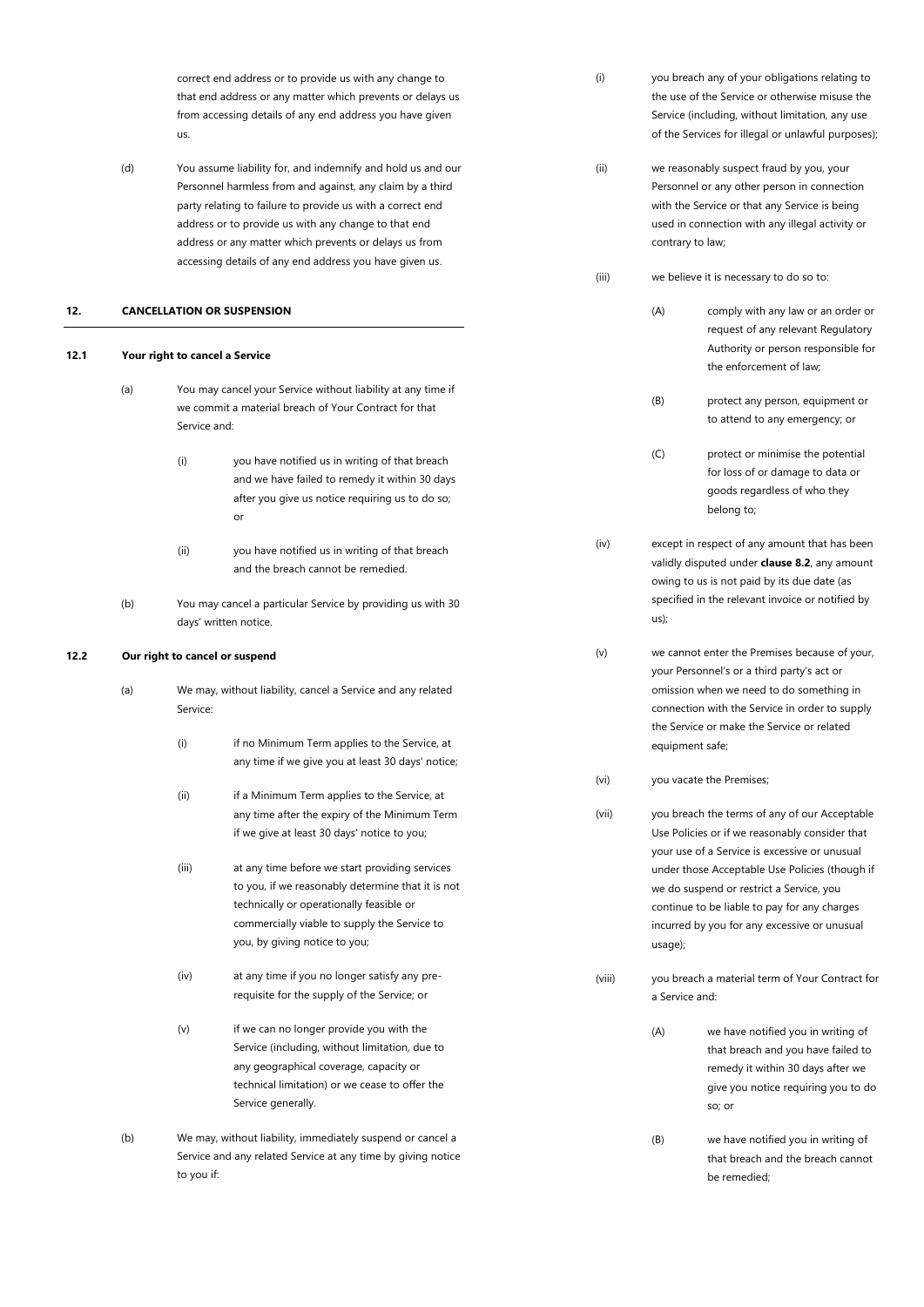<span id="page-15-5"></span><span id="page-15-4"></span><span id="page-15-3"></span><span id="page-15-2"></span><span id="page-15-1"></span><span id="page-15-0"></span>

|      |                                   | us.          | correct end address or to provide us with any change to<br>that end address or any matter which prevents or delays us<br>from accessing details of any end address you have given                                                                                                                                                                                   | (i)    |                  | you breach any of your obligations relating to<br>the use of the Service or otherwise misuse the<br>Service (including, without limitation, any use<br>of the Services for illegal or unlawful purposes);                                   |
|------|-----------------------------------|--------------|---------------------------------------------------------------------------------------------------------------------------------------------------------------------------------------------------------------------------------------------------------------------------------------------------------------------------------------------------------------------|--------|------------------|---------------------------------------------------------------------------------------------------------------------------------------------------------------------------------------------------------------------------------------------|
|      | (d)                               |              | You assume liability for, and indemnify and hold us and our<br>Personnel harmless from and against, any claim by a third<br>party relating to failure to provide us with a correct end<br>address or to provide us with any change to that end<br>address or any matter which prevents or delays us from<br>accessing details of any end address you have given us. | (ii)   | contrary to law; | we reasonably suspect fraud by you, your<br>Personnel or any other person in connection<br>with the Service or that any Service is being<br>used in connection with any illegal activity or                                                 |
|      |                                   |              |                                                                                                                                                                                                                                                                                                                                                                     | (iii)  |                  | we believe it is necessary to do so to:                                                                                                                                                                                                     |
| 12.  | <b>CANCELLATION OR SUSPENSION</b> |              |                                                                                                                                                                                                                                                                                                                                                                     |        | (A)              | comply with any law or an order or<br>request of any relevant Regulatory                                                                                                                                                                    |
| 12.1 | Your right to cancel a Service    |              |                                                                                                                                                                                                                                                                                                                                                                     |        |                  | Authority or person responsible for<br>the enforcement of law;                                                                                                                                                                              |
|      | (a)                               | Service and: | You may cancel your Service without liability at any time if<br>we commit a material breach of Your Contract for that                                                                                                                                                                                                                                               |        | (B)              | protect any person, equipment or<br>to attend to any emergency; or                                                                                                                                                                          |
|      |                                   | (i)          | you have notified us in writing of that breach<br>and we have failed to remedy it within 30 days<br>after you give us notice requiring us to do so;<br>or                                                                                                                                                                                                           |        | (C)              | protect or minimise the potential<br>for loss of or damage to data or<br>goods regardless of who they<br>belong to;                                                                                                                         |
|      |                                   | (ii)         | you have notified us in writing of that breach<br>and the breach cannot be remedied.                                                                                                                                                                                                                                                                                | (iv)   |                  | except in respect of any amount that has been<br>validly disputed under <b>clause 8.2</b> , any amount<br>owing to us is not paid by its due date (as                                                                                       |
|      | (b)                               |              | You may cancel a particular Service by providing us with 30<br>days' written notice.                                                                                                                                                                                                                                                                                |        | us);             | specified in the relevant invoice or notified by                                                                                                                                                                                            |
| 12.2 |                                   |              | Our right to cancel or suspend                                                                                                                                                                                                                                                                                                                                      | (v)    |                  | we cannot enter the Premises because of your,<br>your Personnel's or a third party's act or                                                                                                                                                 |
|      | (a)                               | Service:     | We may, without liability, cancel a Service and any related                                                                                                                                                                                                                                                                                                         |        |                  | omission when we need to do something in<br>connection with the Service in order to supply<br>the Service or make the Service or related                                                                                                    |
|      |                                   | (i)          | if no Minimum Term applies to the Service, at<br>any time if we give you at least 30 days' notice;                                                                                                                                                                                                                                                                  | (vi)   | equipment safe;  | you vacate the Premises;                                                                                                                                                                                                                    |
|      |                                   | (ii)         | if a Minimum Term applies to the Service, at                                                                                                                                                                                                                                                                                                                        |        |                  |                                                                                                                                                                                                                                             |
|      |                                   |              | any time after the expiry of the Minimum Term<br>if we give at least 30 days' notice to you;                                                                                                                                                                                                                                                                        | (vii)  |                  | you breach the terms of any of our Acceptable<br>Use Policies or if we reasonably consider that                                                                                                                                             |
|      |                                   | (iii)        | at any time before we start providing services<br>to you, if we reasonably determine that it is not<br>technically or operationally feasible or<br>commercially viable to supply the Service to<br>you, by giving notice to you;                                                                                                                                    |        | usage);          | your use of a Service is excessive or unusual<br>under those Acceptable Use Policies (though if<br>we do suspend or restrict a Service, you<br>continue to be liable to pay for any charges<br>incurred by you for any excessive or unusual |
|      |                                   | (iv)         | at any time if you no longer satisfy any pre-<br>requisite for the supply of the Service; or                                                                                                                                                                                                                                                                        | (viii) | a Service and:   | you breach a material term of Your Contract for                                                                                                                                                                                             |
|      |                                   | (v)          | if we can no longer provide you with the<br>Service (including, without limitation, due to<br>any geographical coverage, capacity or<br>technical limitation) or we cease to offer the<br>Service generally.                                                                                                                                                        |        | (A)              | we have notified you in writing of<br>that breach and you have failed to<br>remedy it within 30 days after we<br>give you notice requiring you to do<br>so; or                                                                              |
|      | (b)                               | to you if:   | We may, without liability, immediately suspend or cancel a<br>Service and any related Service at any time by giving notice                                                                                                                                                                                                                                          |        | (B)              | we have notified you in writing of<br>that breach and the breach cannot<br>be remedied;                                                                                                                                                     |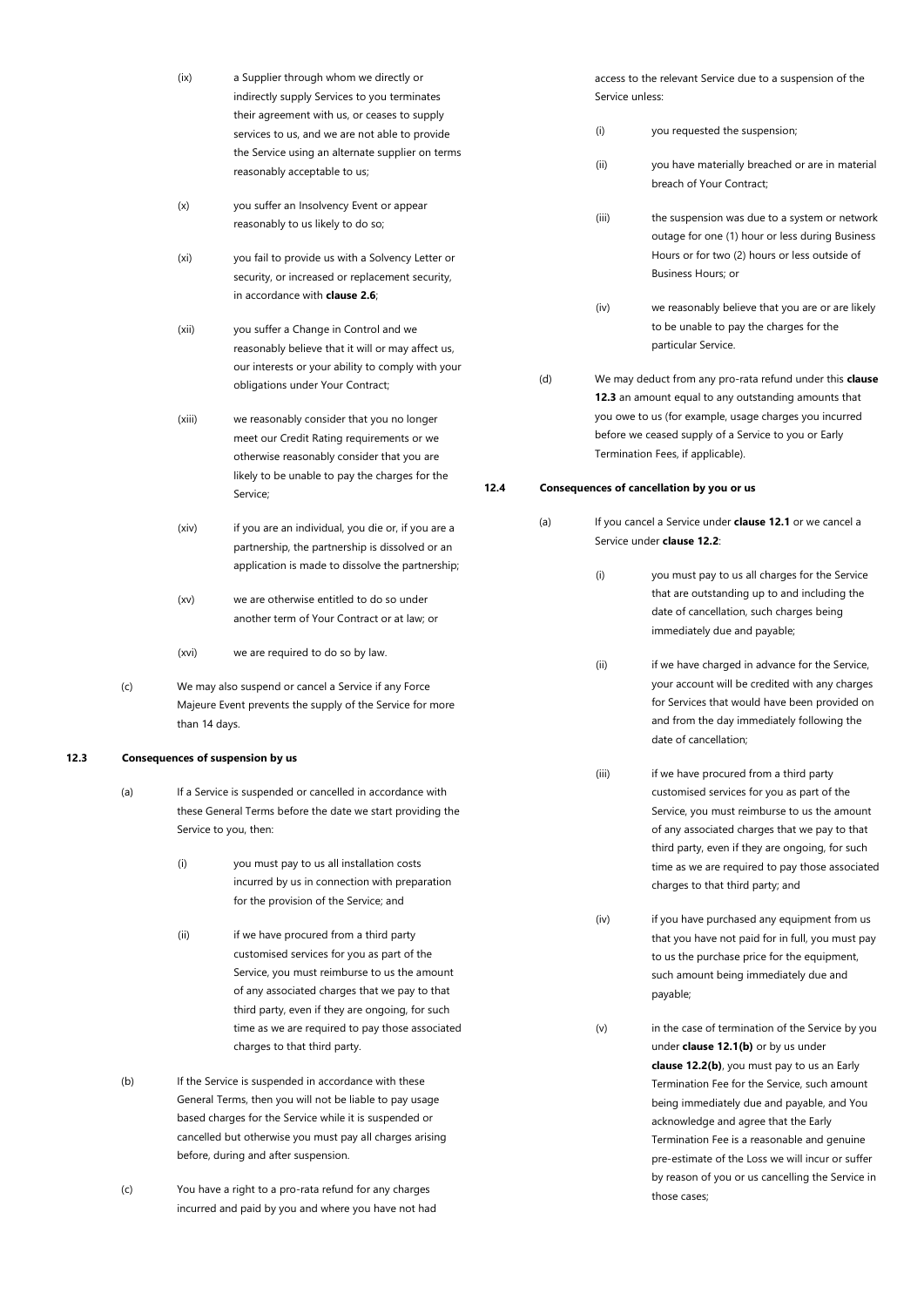| (ix)   | a Supplier through whom we directly or<br>indirectly supply Services to you terminates<br>their agreement with us, or ceases to supply<br>services to us, and we are not able to provide<br>the Service using an alternate supplier on terms<br>reasonably acceptable to us; |
|--------|------------------------------------------------------------------------------------------------------------------------------------------------------------------------------------------------------------------------------------------------------------------------------|
| (x)    | you suffer an Insolvency Event or appear<br>reasonably to us likely to do so;                                                                                                                                                                                                |
| (xi)   | you fail to provide us with a Solvency Letter or<br>security, or increased or replacement security,<br>in accordance with <b>clause 2.6</b> ;                                                                                                                                |
| (xii)  | you suffer a Change in Control and we<br>reasonably believe that it will or may affect us,<br>our interests or your ability to comply with your<br>obligations under Your Contract;                                                                                          |
| (xiii) | we reasonably consider that you no longer<br>meet our Credit Rating requirements or we<br>otherwise reasonably consider that you are<br>likely to be unable to pay the charges for the<br>Service:                                                                           |
| (xiv)  | if you are an individual, you die or, if you are a<br>partnership, the partnership is dissolved or an<br>application is made to dissolve the partnership;                                                                                                                    |

- (xv) we are otherwise entitled to do so under another term of Your Contract or at law; or
- (xvi) we are required to do so by law.
- (c) We may also suspend or cancel a Service if any Force Majeure Event prevents the supply of the Service for more than 14 days.

# <span id="page-16-0"></span>**12.3 Consequences of suspension by us**

- (a) If a Service is suspended or cancelled in accordance with these General Terms before the date we start providing the Service to you, then:
	- (i) you must pay to us all installation costs incurred by us in connection with preparation for the provision of the Service; and
	- (ii) if we have procured from a third party customised services for you as part of the Service, you must reimburse to us the amount of any associated charges that we pay to that third party, even if they are ongoing, for such time as we are required to pay those associated charges to that third party.
- (b) If the Service is suspended in accordance with these General Terms, then you will not be liable to pay usage based charges for the Service while it is suspended or cancelled but otherwise you must pay all charges arising before, during and after suspension.
- (c) You have a right to a pro-rata refund for any charges incurred and paid by you and where you have not had

access to the relevant Service due to a suspension of the Service unless:

- (i) you requested the suspension;
- (ii) you have materially breached or are in material breach of Your Contract;
- (iii) the suspension was due to a system or network outage for one (1) hour or less during Business Hours or for two (2) hours or less outside of Business Hours; or
- (iv) we reasonably believe that you are or are likely to be unable to pay the charges for the particular Service.
- (d) We may deduct from any pro-rata refund under this **clause [12.3](#page-16-0)** an amount equal to any outstanding amounts that you owe to us (for example, usage charges you incurred before we ceased supply of a Service to you or Early Termination Fees, if applicable).

### <span id="page-16-1"></span>**12.4 Consequences of cancellation by you or us**

- (a) If you cancel a Service under **clause [12.1](#page-15-1)** or we cancel a Service under **clause [12.2](#page-15-2)**:
	- (i) you must pay to us all charges for the Service that are outstanding up to and including the date of cancellation, such charges being immediately due and payable;
	- (ii) if we have charged in advance for the Service, your account will be credited with any charges for Services that would have been provided on and from the day immediately following the date of cancellation;
	- (iii) if we have procured from a third party customised services for you as part of the Service, you must reimburse to us the amount of any associated charges that we pay to that third party, even if they are ongoing, for such time as we are required to pay those associated charges to that third party; and
	- (iv) if you have purchased any equipment from us that you have not paid for in full, you must pay to us the purchase price for the equipment, such amount being immediately due and payable;
	- (v) in the case of termination of the Service by you under **clause [12.1\(b\)](#page-15-3)** or by us under **clause [12.2\(b\)](#page-15-4)**, you must pay to us an Early Termination Fee for the Service, such amount being immediately due and payable, and You acknowledge and agree that the Early Termination Fee is a reasonable and genuine pre-estimate of the Loss we will incur or suffer by reason of you or us cancelling the Service in those cases;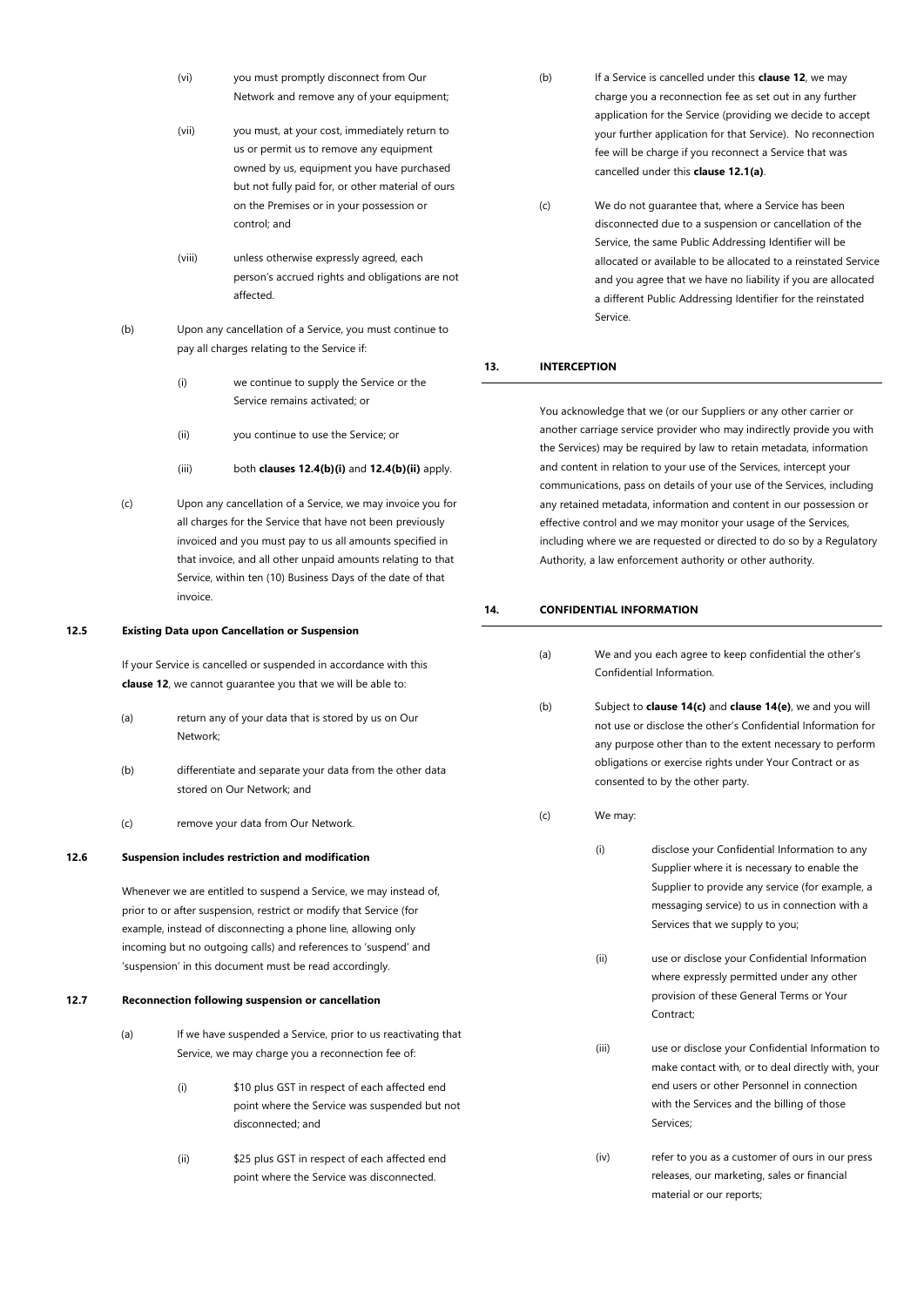- (vi) you must promptly disconnect from Our Network and remove any of your equipment;
- (vii) you must, at your cost, immediately return to us or permit us to remove any equipment owned by us, equipment you have purchased but not fully paid for, or other material of ours on the Premises or in your possession or control; and
- (viii) unless otherwise expressly agreed, each person's accrued rights and obligations are not affected.
- <span id="page-17-6"></span><span id="page-17-5"></span>(b) Upon any cancellation of a Service, you must continue to pay all charges relating to the Service if:
	- (i) we continue to supply the Service or the Service remains activated; or
	- (ii) you continue to use the Service; or
	- (iii) both **clause[s 12.4\(b\)\(i\)](#page-17-5)** and **[12.4\(b\)\(ii\)](#page-17-6)** apply.
- (c) Upon any cancellation of a Service, we may invoice you for all charges for the Service that have not been previously invoiced and you must pay to us all amounts specified in that invoice, and all other unpaid amounts relating to that Service, within ten (10) Business Days of the date of that invoice.

#### <span id="page-17-0"></span>**12.5 Existing Data upon Cancellation or Suspension**

If your Service is cancelled or suspended in accordance with this **claus[e 12](#page-15-0)**, we cannot guarantee you that we will be able to:

- (a) return any of your data that is stored by us on Our Network;
- (b) differentiate and separate your data from the other data stored on Our Network; and
- (c) remove your data from Our Network.

#### <span id="page-17-1"></span>**12.6 Suspension includes restriction and modification**

Whenever we are entitled to suspend a Service, we may instead of, prior to or after suspension, restrict or modify that Service (for example, instead of disconnecting a phone line, allowing only incoming but no outgoing calls) and references to 'suspend' and 'suspension' in this document must be read accordingly.

#### <span id="page-17-2"></span>**12.7 Reconnection following suspension or cancellation**

- (a) If we have suspended a Service, prior to us reactivating that Service, we may charge you a reconnection fee of:
	- (i) \$10 plus GST in respect of each affected end point where the Service was suspended but not disconnected; and
	- (ii) \$25 plus GST in respect of each affected end point where the Service was disconnected.
- (b) If a Service is cancelled under this **claus[e 12](#page-15-0)**, we may charge you a reconnection fee as set out in any further application for the Service (providing we decide to accept your further application for that Service). No reconnection fee will be charge if you reconnect a Service that was cancelled under this **claus[e 12.1\(a\)](#page-15-5)**.
- (c) We do not guarantee that, where a Service has been disconnected due to a suspension or cancellation of the Service, the same Public Addressing Identifier will be allocated or available to be allocated to a reinstated Service and you agree that we have no liability if you are allocated a different Public Addressing Identifier for the reinstated Service.

# <span id="page-17-3"></span>**13. INTERCEPTION**

You acknowledge that we (or our Suppliers or any other carrier or another carriage service provider who may indirectly provide you with the Services) may be required by law to retain metadata, information and content in relation to your use of the Services, intercept your communications, pass on details of your use of the Services, including any retained metadata, information and content in our possession or effective control and we may monitor your usage of the Services, including where we are requested or directed to do so by a Regulatory Authority, a law enforcement authority or other authority.

#### <span id="page-17-4"></span>**14. CONFIDENTIAL INFORMATION**

<span id="page-17-7"></span>

| (a) | We and you each agree to keep confidential the other's<br>Confidential Information.                                                                                                                                                                                                                   |                                                                                                                                                                                                                                      |
|-----|-------------------------------------------------------------------------------------------------------------------------------------------------------------------------------------------------------------------------------------------------------------------------------------------------------|--------------------------------------------------------------------------------------------------------------------------------------------------------------------------------------------------------------------------------------|
| (b) | Subject to <b>clause 14(c)</b> and <b>clause 14(e)</b> , we and you will<br>not use or disclose the other's Confidential Information for<br>any purpose other than to the extent necessary to perform<br>obligations or exercise rights under Your Contract or as<br>consented to by the other party. |                                                                                                                                                                                                                                      |
| (c) | We may:                                                                                                                                                                                                                                                                                               |                                                                                                                                                                                                                                      |
|     | (i)                                                                                                                                                                                                                                                                                                   | disclose your Confidential Information to any<br>Supplier where it is necessary to enable the<br>Supplier to provide any service (for example, a<br>messaging service) to us in connection with a<br>Services that we supply to you; |
|     | (ii)                                                                                                                                                                                                                                                                                                  | use or disclose your Confidential Information<br>where expressly permitted under any other<br>provision of these General Terms or Your<br>Contract;                                                                                  |
|     | (iii)                                                                                                                                                                                                                                                                                                 | use or disclose your Confidential Information to<br>make contact with, or to deal directly with, your<br>end users or other Personnel in connection<br>with the Services and the billing of those<br>Services;                       |
|     | (iv)                                                                                                                                                                                                                                                                                                  | refer to you as a customer of ours in our press<br>releases, our marketing, sales or financial                                                                                                                                       |

material or our reports;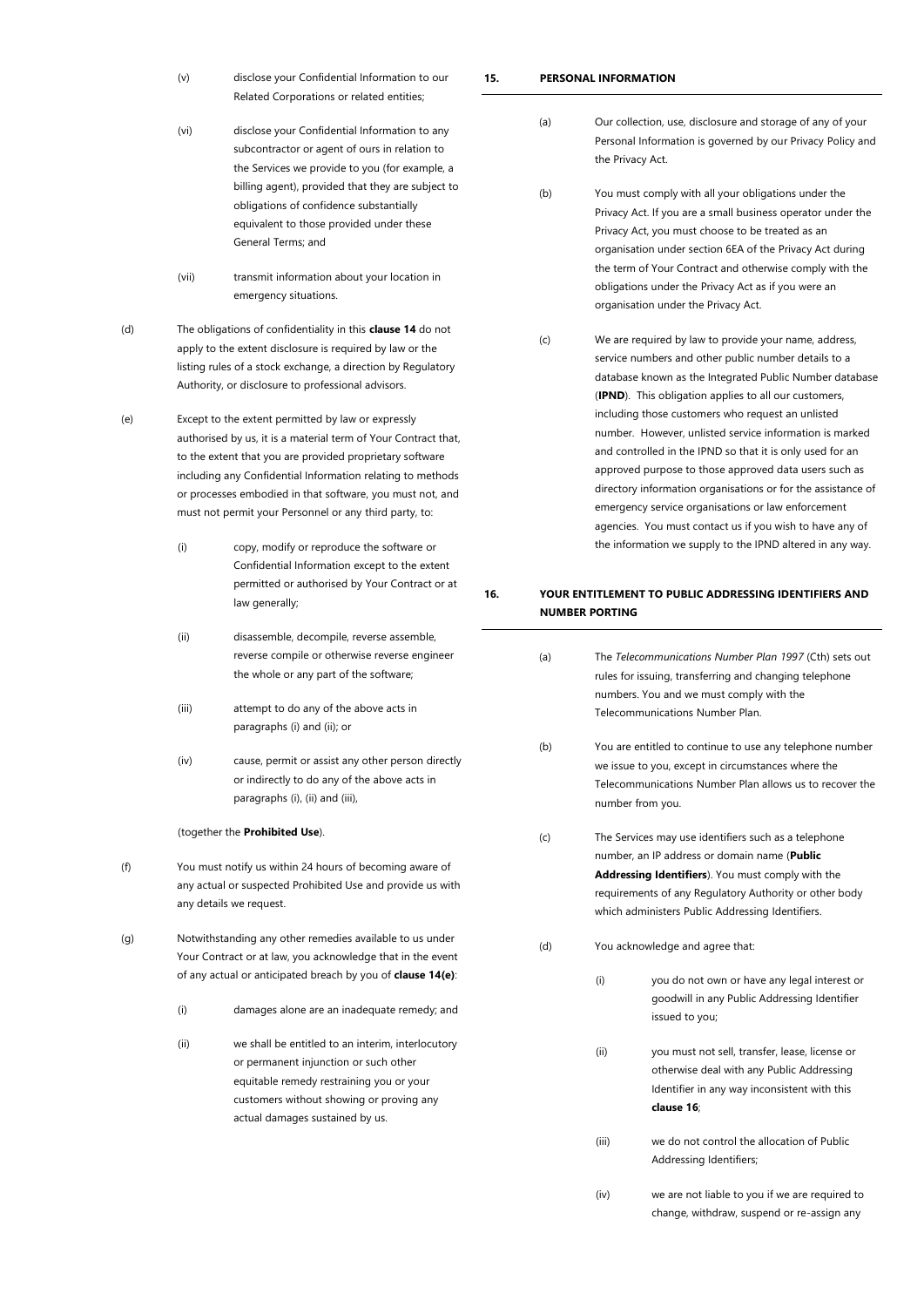- (v) disclose your Confidential Information to our Related Corporations or related entities;
- (vi) disclose your Confidential Information to any subcontractor or agent of ours in relation to the Services we provide to you (for example, a billing agent), provided that they are subject to obligations of confidence substantially equivalent to those provided under these General Terms; and
- (vii) transmit information about your location in emergency situations.
- (d) The obligations of confidentiality in this **claus[e 14](#page-17-4)** do not apply to the extent disclosure is required by law or the listing rules of a stock exchange, a direction by Regulatory Authority, or disclosure to professional advisors.
- <span id="page-18-4"></span><span id="page-18-3"></span><span id="page-18-2"></span>(e) Except to the extent permitted by law or expressly authorised by us, it is a material term of Your Contract that, to the extent that you are provided proprietary software including any Confidential Information relating to methods or processes embodied in that software, you must not, and must not permit your Personnel or any third party, to:
	- (i) copy, modify or reproduce the software or Confidential Information except to the extent permitted or authorised by Your Contract or at law generally;
	- (ii) disassemble, decompile, reverse assemble, reverse compile or otherwise reverse engineer the whole or any part of the software;
	- (iii) attempt to do any of the above acts in paragraph[s \(i\)](#page-18-3) an[d \(ii\);](#page-18-4) or
	- (iv) cause, permit or assist any other person directly or indirectly to do any of the above acts in paragraph[s \(i\),](#page-18-3) [\(ii\)](#page-18-4) and [\(iii\),](#page-18-5)

### <span id="page-18-5"></span>(together the **Prohibited Use**).

- (f) You must notify us within 24 hours of becoming aware of any actual or suspected Prohibited Use and provide us with any details we request.
- (g) Notwithstanding any other remedies available to us under Your Contract or at law, you acknowledge that in the event of any actual or anticipated breach by you of **claus[e 14](#page-17-4)[\(e\)](#page-18-2)**:
	- (i) damages alone are an inadequate remedy; and
	- (ii) we shall be entitled to an interim, interlocutory or permanent injunction or such other equitable remedy restraining you or your customers without showing or proving any actual damages sustained by us.

# <span id="page-18-0"></span>**15. PERSONAL INFORMATION**

- (a) Our collection, use, disclosure and storage of any of your Personal Information is governed by our Privacy Policy and the Privacy Act.
- (b) You must comply with all your obligations under the Privacy Act. If you are a small business operator under the Privacy Act, you must choose to be treated as an organisation under section 6EA of the Privacy Act during the term of Your Contract and otherwise comply with the obligations under the Privacy Act as if you were an organisation under the Privacy Act.
- (c) We are required by law to provide your name, address, service numbers and other public number details to a database known as the Integrated Public Number database (**IPND**). This obligation applies to all our customers, including those customers who request an unlisted number. However, unlisted service information is marked and controlled in the IPND so that it is only used for an approved purpose to those approved data users such as directory information organisations or for the assistance of emergency service organisations or law enforcement agencies. You must contact us if you wish to have any of the information we supply to the IPND altered in any way.

# <span id="page-18-1"></span>**16. YOUR ENTITLEMENT TO PUBLIC ADDRESSING IDENTIFIERS AND NUMBER PORTING**

- (a) The *Telecommunications Number Plan 1997* (Cth) sets out rules for issuing, transferring and changing telephone numbers. You and we must comply with the Telecommunications Number Plan.
- (b) You are entitled to continue to use any telephone number we issue to you, except in circumstances where the Telecommunications Number Plan allows us to recover the number from you.
- <span id="page-18-6"></span>(c) The Services may use identifiers such as a telephone number, an IP address or domain name (**Public Addressing Identifiers**). You must comply with the requirements of any Regulatory Authority or other body which administers Public Addressing Identifiers.
- (d) You acknowledge and agree that:
	- (i) you do not own or have any legal interest or goodwill in any Public Addressing Identifier issued to you;
	- (ii) you must not sell, transfer, lease, license or otherwise deal with any Public Addressing Identifier in any way inconsistent with this **clause [16](#page-18-1)**;
	- (iii) we do not control the allocation of Public Addressing Identifiers;
	- (iv) we are not liable to you if we are required to change, withdraw, suspend or re-assign any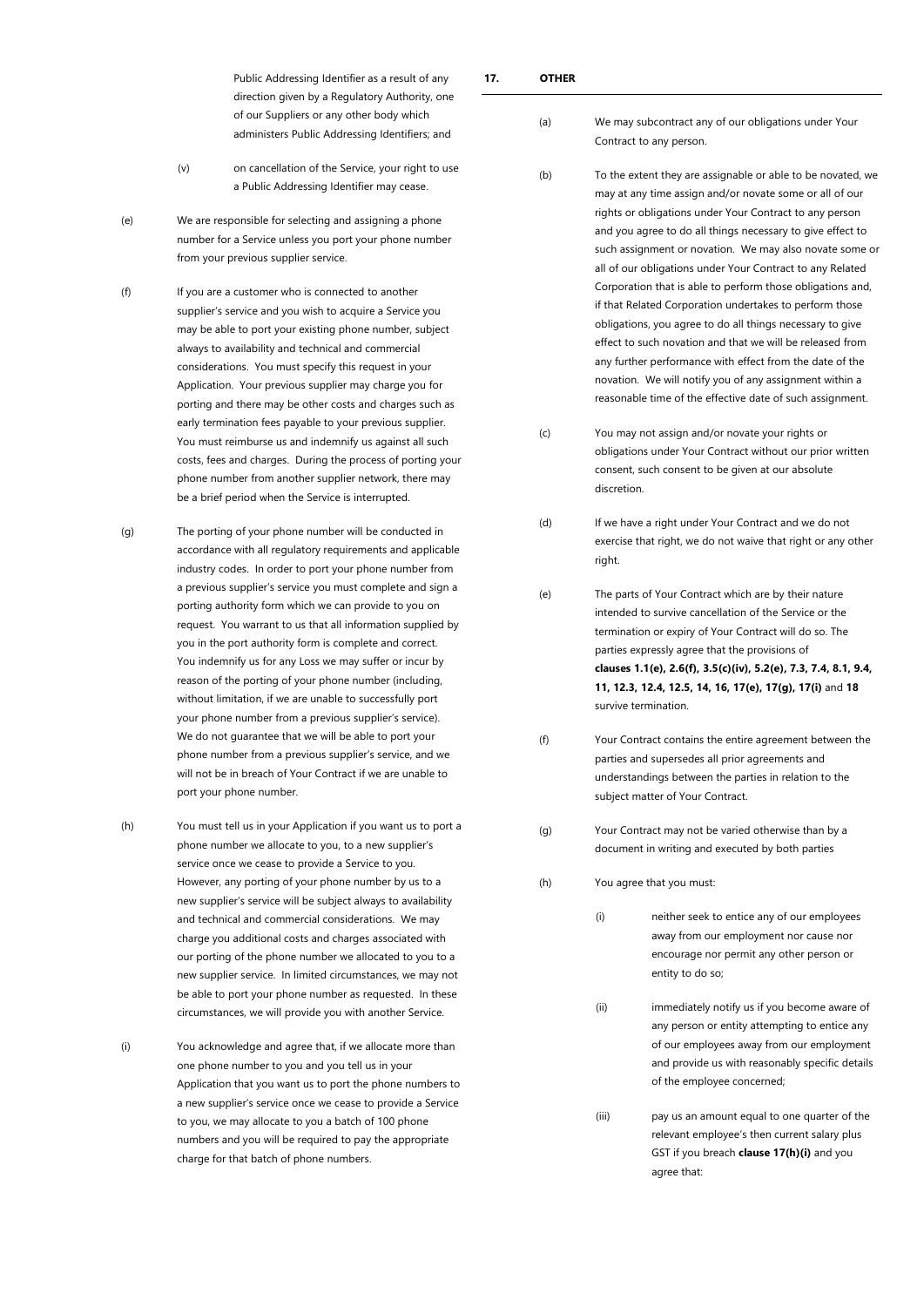Public Addressing Identifier as a result of any direction given by a Regulatory Authority, one of our Suppliers or any other body which administers Public Addressing Identifiers; and

- (v) on cancellation of the Service, your right to use a Public Addressing Identifier may cease.
- (e) We are responsible for selecting and assigning a phone number for a Service unless you port your phone number from your previous supplier service.
- (f) If you are a customer who is connected to another supplier's service and you wish to acquire a Service you may be able to port your existing phone number, subject always to availability and technical and commercial considerations. You must specify this request in your Application. Your previous supplier may charge you for porting and there may be other costs and charges such as early termination fees payable to your previous supplier. You must reimburse us and indemnify us against all such costs, fees and charges. During the process of porting your phone number from another supplier network, there may be a brief period when the Service is interrupted.
- (g) The porting of your phone number will be conducted in accordance with all regulatory requirements and applicable industry codes. In order to port your phone number from a previous supplier's service you must complete and sign a porting authority form which we can provide to you on request. You warrant to us that all information supplied by you in the port authority form is complete and correct. You indemnify us for any Loss we may suffer or incur by reason of the porting of your phone number (including, without limitation, if we are unable to successfully port your phone number from a previous supplier's service). We do not guarantee that we will be able to port your phone number from a previous supplier's service, and we will not be in breach of Your Contract if we are unable to port your phone number.
- (h) You must tell us in your Application if you want us to port a phone number we allocate to you, to a new supplier's service once we cease to provide a Service to you. However, any porting of your phone number by us to a new supplier's service will be subject always to availability and technical and commercial considerations. We may charge you additional costs and charges associated with our porting of the phone number we allocated to you to a new supplier service. In limited circumstances, we may not be able to port your phone number as requested. In these circumstances, we will provide you with another Service.
- (i) You acknowledge and agree that, if we allocate more than one phone number to you and you tell us in your Application that you want us to port the phone numbers to a new supplier's service once we cease to provide a Service to you, we may allocate to you a batch of 100 phone numbers and you will be required to pay the appropriate charge for that batch of phone numbers.
- <span id="page-19-0"></span>(a) We may subcontract any of our obligations under Your Contract to any person.
- (b) To the extent they are assignable or able to be novated, we may at any time assign and/or novate some or all of our rights or obligations under Your Contract to any person and you agree to do all things necessary to give effect to such assignment or novation. We may also novate some or all of our obligations under Your Contract to any Related Corporation that is able to perform those obligations and, if that Related Corporation undertakes to perform those obligations, you agree to do all things necessary to give effect to such novation and that we will be released from any further performance with effect from the date of the novation. We will notify you of any assignment within a reasonable time of the effective date of such assignment.
- (c) You may not assign and/or novate your rights or obligations under Your Contract without our prior written consent, such consent to be given at our absolute discretion.
- (d) If we have a right under Your Contract and we do not exercise that right, we do not waive that right or any other right.
- <span id="page-19-1"></span>(e) The parts of Your Contract which are by their nature intended to survive cancellation of the Service or the termination or expiry of Your Contract will do so. The parties expressly agree that the provisions of **clauses [1.1\(e\),](#page-2-6) [2.6\(f\),](#page-5-2) [3.5\(c\)\(iv\),](#page-8-6) [5.2\(e\),](#page-9-2) [7.3,](#page-11-3) [7.4,](#page-11-4) [8.1,](#page-11-6) [9.4,](#page-13-2) [11,](#page-13-4) [12.3,](#page-16-0) [12.4,](#page-16-1) [12.5,](#page-17-0) [14,](#page-17-4) [16,](#page-18-1) [17\(e\),](#page-19-1) [17\(g\),](#page-19-2) [17\(i\)](#page-20-1)** and **[18](#page-20-0)** survive termination.
- (f) Your Contract contains the entire agreement between the parties and supersedes all prior agreements and understandings between the parties in relation to the subject matter of Your Contract.
- <span id="page-19-2"></span>(g) Your Contract may not be varied otherwise than by a document in writing and executed by both parties
- <span id="page-19-3"></span>(h) You agree that you must:
	- (i) neither seek to entice any of our employees away from our employment nor cause nor encourage nor permit any other person or entity to do so;
	- (ii) immediately notify us if you become aware of any person or entity attempting to entice any of our employees away from our employment and provide us with reasonably specific details of the employee concerned;
	- (iii) pay us an amount equal to one quarter of the relevant employee's then current salary plus GST if you breach **claus[e 17\(h\)\(i\)](#page-19-3)** and you agree that: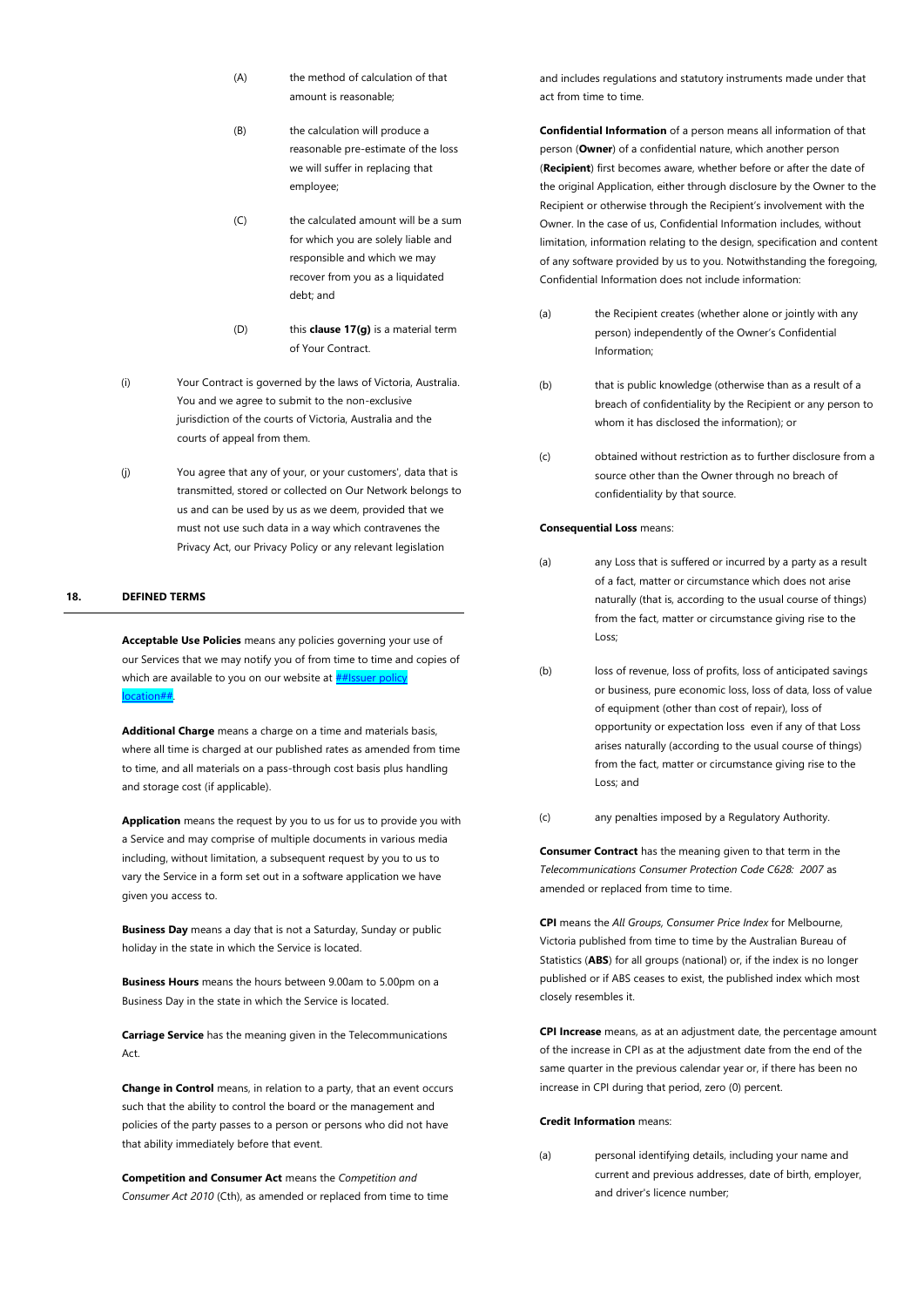- (A) the method of calculation of that amount is reasonable;
- (B) the calculation will produce a reasonable pre-estimate of the loss we will suffer in replacing that employee;
- (C) the calculated amount will be a sum for which you are solely liable and responsible and which we may recover from you as a liquidated debt; and
- (D) this **claus[e 17\(g\)](#page-19-2)** is a material term of Your Contract.
- <span id="page-20-1"></span>(i) Your Contract is governed by the laws of Victoria, Australia. You and we agree to submit to the non-exclusive jurisdiction of the courts of Victoria, Australia and the courts of appeal from them.
- (j) You agree that any of your, or your customers', data that is transmitted, stored or collected on Our Network belongs to us and can be used by us as we deem, provided that we must not use such data in a way which contravenes the Privacy Act, our Privacy Policy or any relevant legislation

### <span id="page-20-0"></span>**18. DEFINED TERMS**

**Acceptable Use Policies** means any policies governing your use of our Services that we may notify you of from time to time and copies of which are available to you on our website at  $#$ location##.

**Additional Charge** means a charge on a time and materials basis, where all time is charged at our published rates as amended from time to time, and all materials on a pass-through cost basis plus handling and storage cost (if applicable).

**Application** means the request by you to us for us to provide you with a Service and may comprise of multiple documents in various media including, without limitation, a subsequent request by you to us to vary the Service in a form set out in a software application we have given you access to.

**Business Day** means a day that is not a Saturday, Sunday or public holiday in the state in which the Service is located.

**Business Hours** means the hours between 9.00am to 5.00pm on a Business Day in the state in which the Service is located.

**Carriage Service** has the meaning given in the Telecommunications Act.

**Change in Control** means, in relation to a party, that an event occurs such that the ability to control the board or the management and policies of the party passes to a person or persons who did not have that ability immediately before that event.

**Competition and Consumer Act** means the *Competition and Consumer Act 2010* (Cth), as amended or replaced from time to time

and includes regulations and statutory instruments made under that act from time to time.

**Confidential Information** of a person means all information of that person (**Owner**) of a confidential nature, which another person (**Recipient**) first becomes aware, whether before or after the date of the original Application, either through disclosure by the Owner to the Recipient or otherwise through the Recipient's involvement with the Owner. In the case of us, Confidential Information includes, without limitation, information relating to the design, specification and content of any software provided by us to you. Notwithstanding the foregoing, Confidential Information does not include information:

- (a) the Recipient creates (whether alone or jointly with any person) independently of the Owner's Confidential Information;
- (b) that is public knowledge (otherwise than as a result of a breach of confidentiality by the Recipient or any person to whom it has disclosed the information); or
- (c) obtained without restriction as to further disclosure from a source other than the Owner through no breach of confidentiality by that source.

# **Consequential Loss** means:

- (a) any Loss that is suffered or incurred by a party as a result of a fact, matter or circumstance which does not arise naturally (that is, according to the usual course of things) from the fact, matter or circumstance giving rise to the Loss;
- (b) loss of revenue, loss of profits, loss of anticipated savings or business, pure economic loss, loss of data, loss of value of equipment (other than cost of repair), loss of opportunity or expectation loss even if any of that Loss arises naturally (according to the usual course of things) from the fact, matter or circumstance giving rise to the Loss; and
- (c) any penalties imposed by a Regulatory Authority.

**Consumer Contract** has the meaning given to that term in the *Telecommunications Consumer Protection Code C628: 2007* as amended or replaced from time to time.

**CPI** means the *All Groups, Consumer Price Index* for Melbourne, Victoria published from time to time by the Australian Bureau of Statistics (**ABS**) for all groups (national) or, if the index is no longer published or if ABS ceases to exist, the published index which most closely resembles it.

**CPI Increase** means, as at an adjustment date, the percentage amount of the increase in CPI as at the adjustment date from the end of the same quarter in the previous calendar year or, if there has been no increase in CPI during that period, zero (0) percent.

### **Credit Information** means:

(a) personal identifying details, including your name and current and previous addresses, date of birth, employer, and driver's licence number;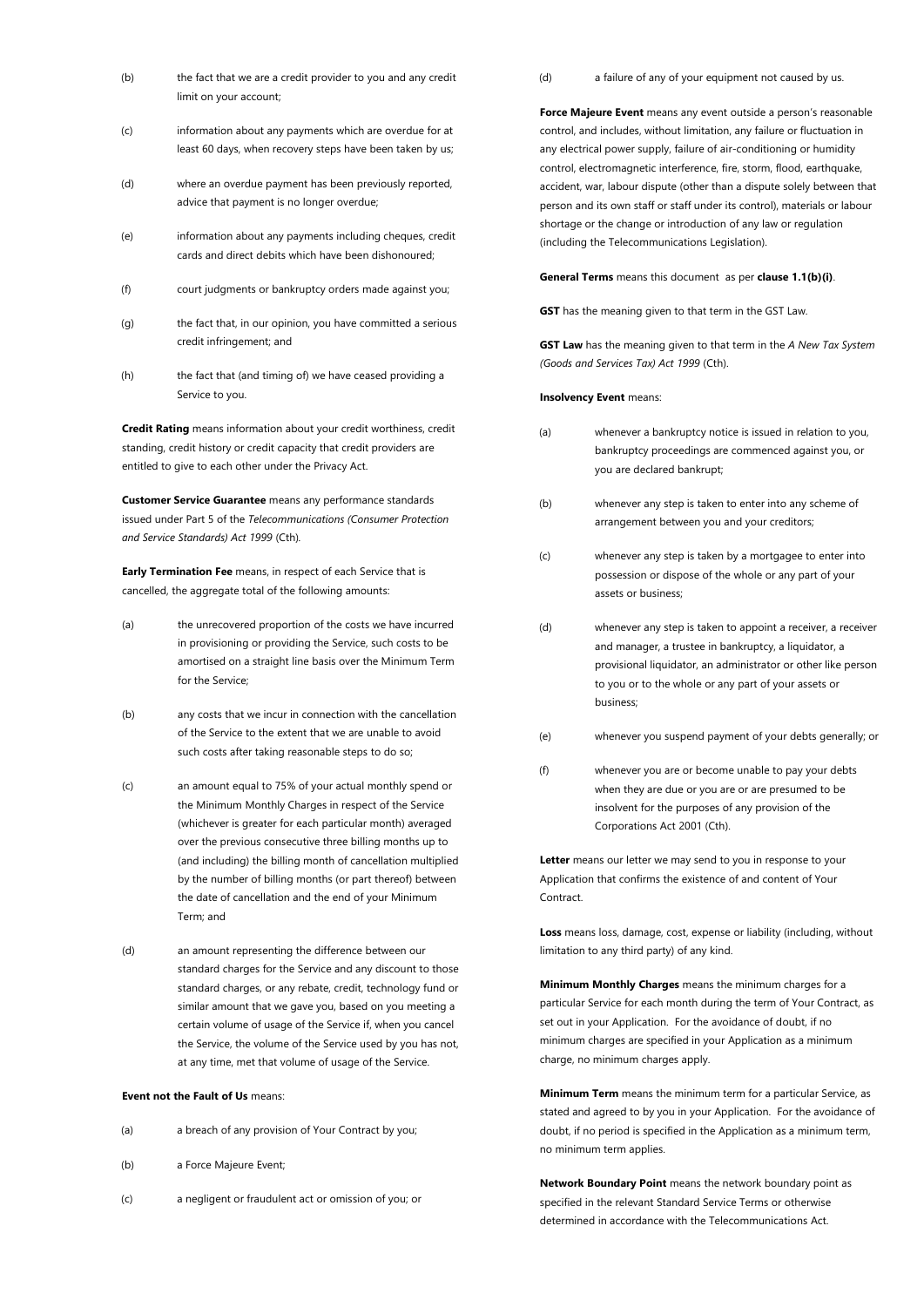- (b) the fact that we are a credit provider to you and any credit limit on your account;
- (c) information about any payments which are overdue for at least 60 days, when recovery steps have been taken by us;
- (d) where an overdue payment has been previously reported, advice that payment is no longer overdue;
- (e) information about any payments including cheques, credit cards and direct debits which have been dishonoured;
- (f) court judgments or bankruptcy orders made against you;
- (g) the fact that, in our opinion, you have committed a serious credit infringement; and
- (h) the fact that (and timing of) we have ceased providing a Service to you.

**Credit Rating** means information about your credit worthiness, credit standing, credit history or credit capacity that credit providers are entitled to give to each other under the Privacy Act.

**Customer Service Guarantee** means any performance standards issued under Part 5 of the *Telecommunications (Consumer Protection and Service Standards) Act 1999* (Cth)*.*

**Early Termination Fee** means, in respect of each Service that is cancelled, the aggregate total of the following amounts:

- (a) the unrecovered proportion of the costs we have incurred in provisioning or providing the Service, such costs to be amortised on a straight line basis over the Minimum Term for the Service;
- (b) any costs that we incur in connection with the cancellation of the Service to the extent that we are unable to avoid such costs after taking reasonable steps to do so;
- (c) an amount equal to 75% of your actual monthly spend or the Minimum Monthly Charges in respect of the Service (whichever is greater for each particular month) averaged over the previous consecutive three billing months up to (and including) the billing month of cancellation multiplied by the number of billing months (or part thereof) between the date of cancellation and the end of your Minimum Term; and
- (d) an amount representing the difference between our standard charges for the Service and any discount to those standard charges, or any rebate, credit, technology fund or similar amount that we gave you, based on you meeting a certain volume of usage of the Service if, when you cancel the Service, the volume of the Service used by you has not, at any time, met that volume of usage of the Service.

# **Event not the Fault of Us** means:

- (b) a Force Majeure Event;
- (c) a negligent or fraudulent act or omission of you; or

(d) a failure of any of your equipment not caused by us.

**Force Majeure Event** means any event outside a person's reasonable control, and includes, without limitation, any failure or fluctuation in any electrical power supply, failure of air-conditioning or humidity control, electromagnetic interference, fire, storm, flood, earthquake, accident, war, labour dispute (other than a dispute solely between that person and its own staff or staff under its control), materials or labour shortage or the change or introduction of any law or regulation (including the Telecommunications Legislation).

**General Terms** means this document as per **clause [1.1\(b\)\(i\)](#page-2-7)**.

**GST** has the meaning given to that term in the GST Law.

**GST Law** has the meaning given to that term in the *A New Tax System (Goods and Services Tax) Act 1999* (Cth).

### **Insolvency Event** means:

- (a) whenever a bankruptcy notice is issued in relation to you, bankruptcy proceedings are commenced against you, or you are declared bankrupt;
- (b) whenever any step is taken to enter into any scheme of arrangement between you and your creditors;
- (c) whenever any step is taken by a mortgagee to enter into possession or dispose of the whole or any part of your assets or business;
- (d) whenever any step is taken to appoint a receiver, a receiver and manager, a trustee in bankruptcy, a liquidator, a provisional liquidator, an administrator or other like person to you or to the whole or any part of your assets or business;
- (e) whenever you suspend payment of your debts generally; or
- (f) whenever you are or become unable to pay your debts when they are due or you are or are presumed to be insolvent for the purposes of any provision of the Corporations Act 2001 (Cth).

**Letter** means our letter we may send to you in response to your Application that confirms the existence of and content of Your **Contract.** 

**Loss** means loss, damage, cost, expense or liability (including, without limitation to any third party) of any kind.

**Minimum Monthly Charges** means the minimum charges for a particular Service for each month during the term of Your Contract, as set out in your Application. For the avoidance of doubt, if no minimum charges are specified in your Application as a minimum charge, no minimum charges apply.

**Minimum Term** means the minimum term for a particular Service, as stated and agreed to by you in your Application. For the avoidance of doubt, if no period is specified in the Application as a minimum term, no minimum term applies.

**Network Boundary Point** means the network boundary point as specified in the relevant Standard Service Terms or otherwise determined in accordance with the Telecommunications Act.